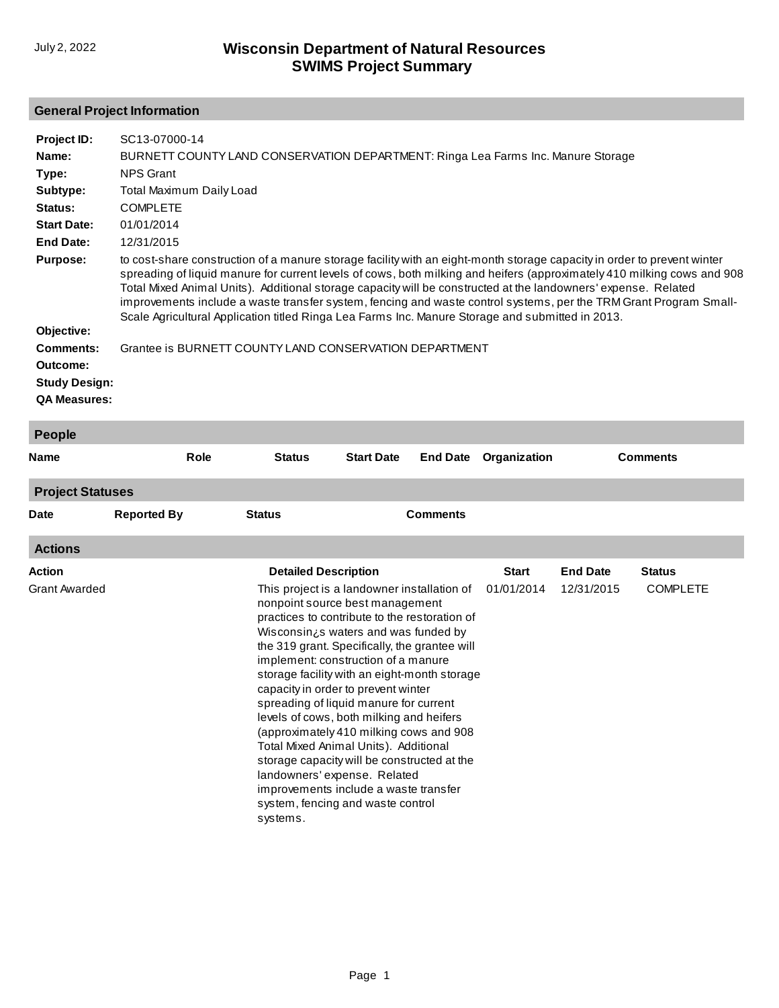### **General Project Information**

| Project ID:<br>Name:<br>Type:<br>Subtype:<br>Status:<br><b>Start Date:</b><br><b>End Date:</b><br><b>Purpose:</b><br>Objective:<br><b>Comments:</b><br>Outcome:<br><b>Study Design:</b><br><b>QA Measures:</b> | SC13-07000-14<br>BURNETT COUNTY LAND CONSERVATION DEPARTMENT: Ringa Lea Farms Inc. Manure Storage<br><b>NPS Grant</b><br><b>Total Maximum Daily Load</b><br><b>COMPLETE</b><br>01/01/2014<br>12/31/2015<br>to cost-share construction of a manure storage facility with an eight-month storage capacity in order to prevent winter<br>spreading of liquid manure for current levels of cows, both milking and heifers (approximately 410 milking cows and 908<br>Total Mixed Animal Units). Additional storage capacity will be constructed at the landowners' expense. Related<br>improvements include a waste transfer system, fencing and waste control systems, per the TRM Grant Program Small-<br>Scale Agricultural Application titled Ringa Lea Farms Inc. Manure Storage and submitted in 2013.<br>Grantee is BURNETT COUNTY LAND CONSERVATION DEPARTMENT |                                                                                                                                                                                                                                                                                                                                                                                                                                                                                                                                                                                                                                                                                                                                          |                   |                 |                            |                               |                                  |
|----------------------------------------------------------------------------------------------------------------------------------------------------------------------------------------------------------------|--------------------------------------------------------------------------------------------------------------------------------------------------------------------------------------------------------------------------------------------------------------------------------------------------------------------------------------------------------------------------------------------------------------------------------------------------------------------------------------------------------------------------------------------------------------------------------------------------------------------------------------------------------------------------------------------------------------------------------------------------------------------------------------------------------------------------------------------------------------------|------------------------------------------------------------------------------------------------------------------------------------------------------------------------------------------------------------------------------------------------------------------------------------------------------------------------------------------------------------------------------------------------------------------------------------------------------------------------------------------------------------------------------------------------------------------------------------------------------------------------------------------------------------------------------------------------------------------------------------------|-------------------|-----------------|----------------------------|-------------------------------|----------------------------------|
| <b>People</b>                                                                                                                                                                                                  |                                                                                                                                                                                                                                                                                                                                                                                                                                                                                                                                                                                                                                                                                                                                                                                                                                                                    |                                                                                                                                                                                                                                                                                                                                                                                                                                                                                                                                                                                                                                                                                                                                          |                   |                 |                            |                               |                                  |
| <b>Name</b>                                                                                                                                                                                                    | <b>Role</b>                                                                                                                                                                                                                                                                                                                                                                                                                                                                                                                                                                                                                                                                                                                                                                                                                                                        | <b>Status</b>                                                                                                                                                                                                                                                                                                                                                                                                                                                                                                                                                                                                                                                                                                                            | <b>Start Date</b> | <b>End Date</b> | Organization               |                               | <b>Comments</b>                  |
| <b>Project Statuses</b>                                                                                                                                                                                        |                                                                                                                                                                                                                                                                                                                                                                                                                                                                                                                                                                                                                                                                                                                                                                                                                                                                    |                                                                                                                                                                                                                                                                                                                                                                                                                                                                                                                                                                                                                                                                                                                                          |                   |                 |                            |                               |                                  |
| Date                                                                                                                                                                                                           | <b>Reported By</b>                                                                                                                                                                                                                                                                                                                                                                                                                                                                                                                                                                                                                                                                                                                                                                                                                                                 | <b>Status</b>                                                                                                                                                                                                                                                                                                                                                                                                                                                                                                                                                                                                                                                                                                                            |                   | <b>Comments</b> |                            |                               |                                  |
| <b>Actions</b>                                                                                                                                                                                                 |                                                                                                                                                                                                                                                                                                                                                                                                                                                                                                                                                                                                                                                                                                                                                                                                                                                                    |                                                                                                                                                                                                                                                                                                                                                                                                                                                                                                                                                                                                                                                                                                                                          |                   |                 |                            |                               |                                  |
| Action<br>Grant Awarded                                                                                                                                                                                        |                                                                                                                                                                                                                                                                                                                                                                                                                                                                                                                                                                                                                                                                                                                                                                                                                                                                    | <b>Detailed Description</b><br>This project is a landowner installation of<br>nonpoint source best management<br>practices to contribute to the restoration of<br>Wisconsin¿s waters and was funded by<br>the 319 grant. Specifically, the grantee will<br>implement: construction of a manure<br>storage facility with an eight-month storage<br>capacity in order to prevent winter<br>spreading of liquid manure for current<br>levels of cows, both milking and heifers<br>(approximately 410 milking cows and 908<br>Total Mixed Animal Units). Additional<br>storage capacity will be constructed at the<br>landowners' expense. Related<br>improvements include a waste transfer<br>system, fencing and waste control<br>systems. |                   |                 | <b>Start</b><br>01/01/2014 | <b>End Date</b><br>12/31/2015 | <b>Status</b><br><b>COMPLETE</b> |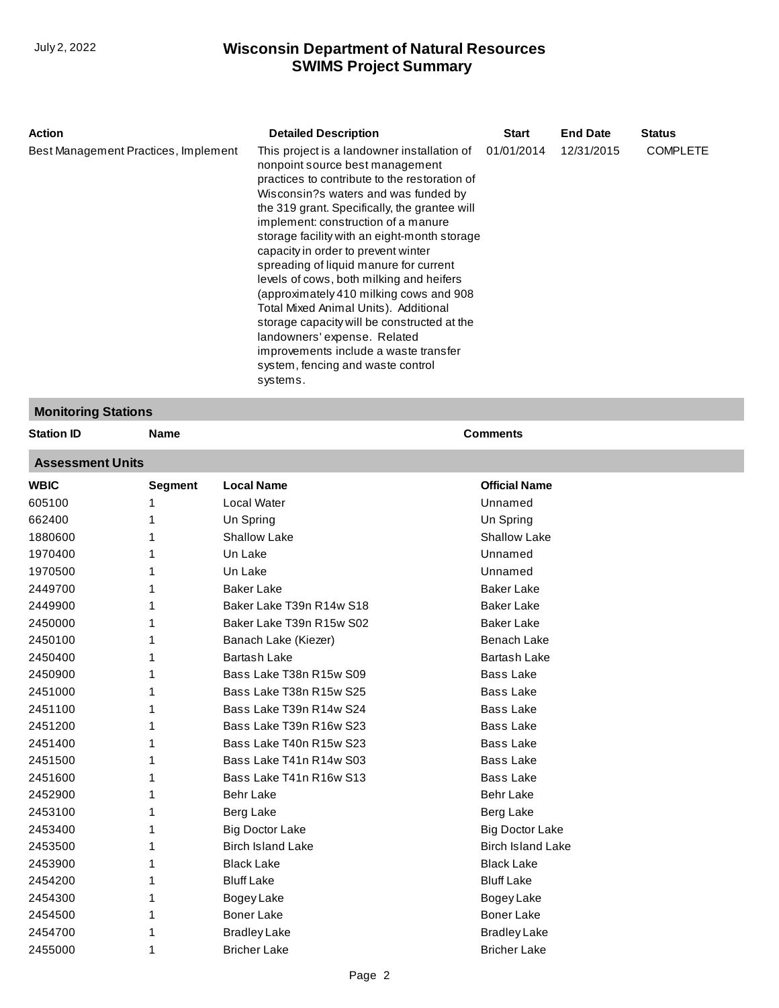| <b>Action</b>                        | <b>Detailed Description</b>                                                                                                                                                                                                                                                                                                                                                                                                                                                                                                                                                                                                                                                                                | <b>Start</b> | <b>End Date</b> | <b>Status</b>   |
|--------------------------------------|------------------------------------------------------------------------------------------------------------------------------------------------------------------------------------------------------------------------------------------------------------------------------------------------------------------------------------------------------------------------------------------------------------------------------------------------------------------------------------------------------------------------------------------------------------------------------------------------------------------------------------------------------------------------------------------------------------|--------------|-----------------|-----------------|
| Best Management Practices, Implement | This project is a landowner installation of<br>nonpoint source best management<br>practices to contribute to the restoration of<br>Wisconsin?s waters and was funded by<br>the 319 grant. Specifically, the grantee will<br>implement: construction of a manure<br>storage facility with an eight-month storage<br>capacity in order to prevent winter<br>spreading of liquid manure for current<br>levels of cows, both milking and heifers<br>(approximately 410 milking cows and 908)<br>Total Mixed Animal Units). Additional<br>storage capacity will be constructed at the<br>landowners' expense. Related<br>improvements include a waste transfer<br>system, fencing and waste control<br>systems. | 01/01/2014   | 12/31/2015      | <b>COMPLETE</b> |

## **Monitoring Stations**

| <b>Station ID</b>       | <b>Name</b>    |                          | <b>Comments</b>          |  |  |  |
|-------------------------|----------------|--------------------------|--------------------------|--|--|--|
| <b>Assessment Units</b> |                |                          |                          |  |  |  |
| <b>WBIC</b>             | <b>Segment</b> | <b>Local Name</b>        | <b>Official Name</b>     |  |  |  |
| 605100                  |                | Local Water              | Unnamed                  |  |  |  |
| 662400                  |                | Un Spring                | Un Spring                |  |  |  |
| 1880600                 |                | <b>Shallow Lake</b>      | <b>Shallow Lake</b>      |  |  |  |
| 1970400                 |                | Un Lake                  | Unnamed                  |  |  |  |
| 1970500                 |                | Un Lake                  | Unnamed                  |  |  |  |
| 2449700                 |                | <b>Baker Lake</b>        | <b>Baker Lake</b>        |  |  |  |
| 2449900                 |                | Baker Lake T39n R14w S18 | <b>Baker Lake</b>        |  |  |  |
| 2450000                 |                | Baker Lake T39n R15w S02 | <b>Baker Lake</b>        |  |  |  |
| 2450100                 |                | Banach Lake (Kiezer)     | <b>Benach Lake</b>       |  |  |  |
| 2450400                 |                | <b>Bartash Lake</b>      | <b>Bartash Lake</b>      |  |  |  |
| 2450900                 |                | Bass Lake T38n R15w S09  | <b>Bass Lake</b>         |  |  |  |
| 2451000                 |                | Bass Lake T38n R15w S25  | <b>Bass Lake</b>         |  |  |  |
| 2451100                 |                | Bass Lake T39n R14w S24  | <b>Bass Lake</b>         |  |  |  |
| 2451200                 |                | Bass Lake T39n R16w S23  | <b>Bass Lake</b>         |  |  |  |
| 2451400                 |                | Bass Lake T40n R15w S23  | <b>Bass Lake</b>         |  |  |  |
| 2451500                 |                | Bass Lake T41n R14w S03  | <b>Bass Lake</b>         |  |  |  |
| 2451600                 |                | Bass Lake T41n R16w S13  | <b>Bass Lake</b>         |  |  |  |
| 2452900                 |                | <b>Behr Lake</b>         | <b>Behr Lake</b>         |  |  |  |
| 2453100                 |                | Berg Lake                | Berg Lake                |  |  |  |
| 2453400                 |                | <b>Big Doctor Lake</b>   | <b>Big Doctor Lake</b>   |  |  |  |
| 2453500                 |                | <b>Birch Island Lake</b> | <b>Birch Island Lake</b> |  |  |  |
| 2453900                 |                | <b>Black Lake</b>        | <b>Black Lake</b>        |  |  |  |
| 2454200                 |                | <b>Bluff Lake</b>        | <b>Bluff Lake</b>        |  |  |  |
| 2454300                 |                | Bogey Lake               | Bogey Lake               |  |  |  |
| 2454500                 |                | <b>Boner Lake</b>        | <b>Boner Lake</b>        |  |  |  |
| 2454700                 |                | <b>Bradley Lake</b>      | <b>Bradley Lake</b>      |  |  |  |
| 2455000                 | 1              | <b>Bricher Lake</b>      | <b>Bricher Lake</b>      |  |  |  |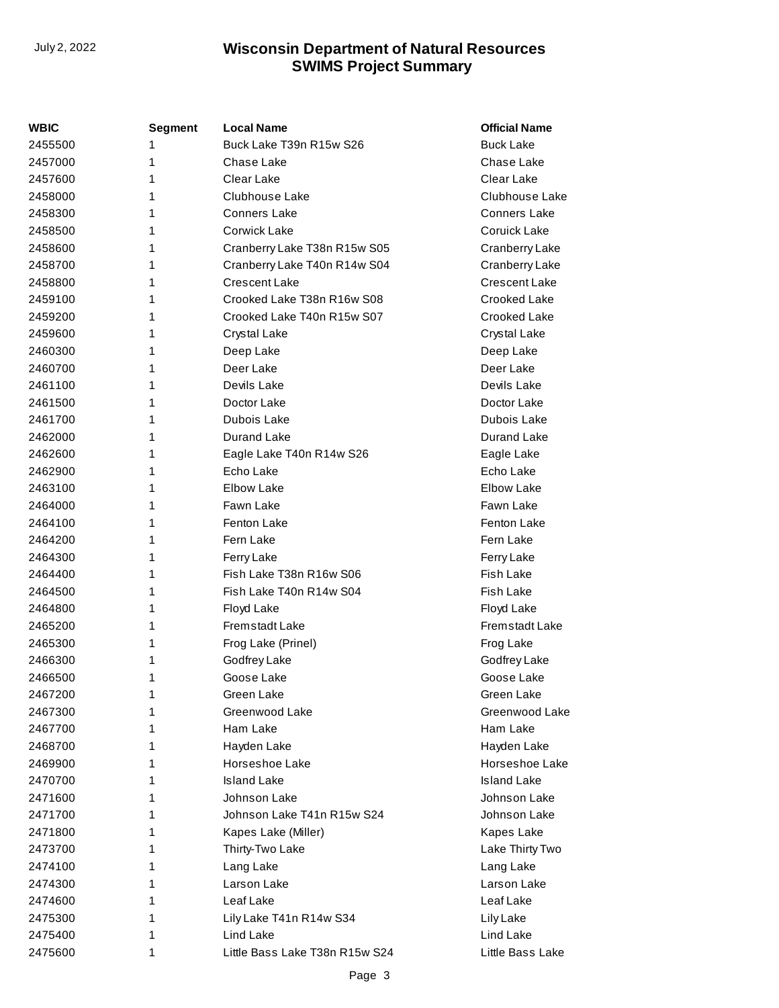| <b>WBIC</b> | <b>Segment</b> | <b>Local Name</b>              | <b>Official Name</b>  |
|-------------|----------------|--------------------------------|-----------------------|
| 2455500     | 1              | Buck Lake T39n R15w S26        | <b>Buck Lake</b>      |
| 2457000     | 1              | Chase Lake                     | Chase Lake            |
| 2457600     | 1              | Clear Lake                     | Clear Lake            |
| 2458000     | 1              | Clubhouse Lake                 | Clubhouse Lake        |
| 2458300     | 1              | <b>Conners Lake</b>            | <b>Conners Lake</b>   |
| 2458500     | 1              | Corwick Lake                   | Coruick Lake          |
| 2458600     | 1              | Cranberry Lake T38n R15w S05   | Cranberry Lake        |
| 2458700     | 1              | Cranberry Lake T40n R14w S04   | Cranberry Lake        |
| 2458800     | 1              | <b>Crescent Lake</b>           | Crescent Lake         |
| 2459100     | 1              | Crooked Lake T38n R16w S08     | Crooked Lake          |
| 2459200     | 1              | Crooked Lake T40n R15w S07     | Crooked Lake          |
| 2459600     | 1              | Crystal Lake                   | Crystal Lake          |
| 2460300     | 1              | Deep Lake                      | Deep Lake             |
| 2460700     | 1              | Deer Lake                      | Deer Lake             |
| 2461100     | 1              | Devils Lake                    | Devils Lake           |
| 2461500     | 1              | Doctor Lake                    | Doctor Lake           |
| 2461700     | 1              | Dubois Lake                    | Dubois Lake           |
| 2462000     | 1              | Durand Lake                    | Durand Lake           |
| 2462600     | 1              | Eagle Lake T40n R14w S26       | Eagle Lake            |
| 2462900     | 1              | Echo Lake                      | Echo Lake             |
| 2463100     | 1              | Elbow Lake                     | Elbow Lake            |
| 2464000     | 1              | Fawn Lake                      | Fawn Lake             |
| 2464100     | 1              | Fenton Lake                    | Fenton Lake           |
| 2464200     | 1              | Fern Lake                      | Fern Lake             |
| 2464300     | 1              | Ferry Lake                     | Ferry Lake            |
| 2464400     | 1              | Fish Lake T38n R16w S06        | <b>Fish Lake</b>      |
| 2464500     | 1              | Fish Lake T40n R14w S04        | Fish Lake             |
| 2464800     | 1              | Floyd Lake                     | Floyd Lake            |
| 2465200     | 1              | <b>Fremstadt Lake</b>          | <b>Fremstadt Lake</b> |
| 2465300     | 1              | Frog Lake (Prinel)             | Frog Lake             |
| 2466300     | 1              | Godfrey Lake                   | Godfrey Lake          |
| 2466500     | 1              | Goose Lake                     | Goose Lake            |
| 2467200     | 1              | Green Lake                     | Green Lake            |
| 2467300     | 1              | Greenwood Lake                 | Greenwood Lake        |
| 2467700     | 1              | Ham Lake                       | Ham Lake              |
| 2468700     | 1.             | Hayden Lake                    | Hayden Lake           |
| 2469900     | 1.             | Horseshoe Lake                 | Horseshoe Lake        |
| 2470700     | 1.             | <b>Island Lake</b>             | <b>Island Lake</b>    |
| 2471600     | 1              | Johnson Lake                   | Johnson Lake          |
| 2471700     | 1.             | Johnson Lake T41n R15w S24     | Johnson Lake          |
| 2471800     | 1              | Kapes Lake (Miller)            | Kapes Lake            |
| 2473700     | 1.             | Thirty-Two Lake                | Lake Thirty Two       |
| 2474100     | 1              | Lang Lake                      | Lang Lake             |
| 2474300     | 1.             | Larson Lake                    | Larson Lake           |
| 2474600     | 1.             | Leaf Lake                      | Leaf Lake             |
| 2475300     | 1              | Lily Lake T41n R14w S34        | Lily Lake             |
| 2475400     | 1              | Lind Lake                      | Lind Lake             |
| 2475600     | 1              | Little Bass Lake T38n R15w S24 | Little Bass Lake      |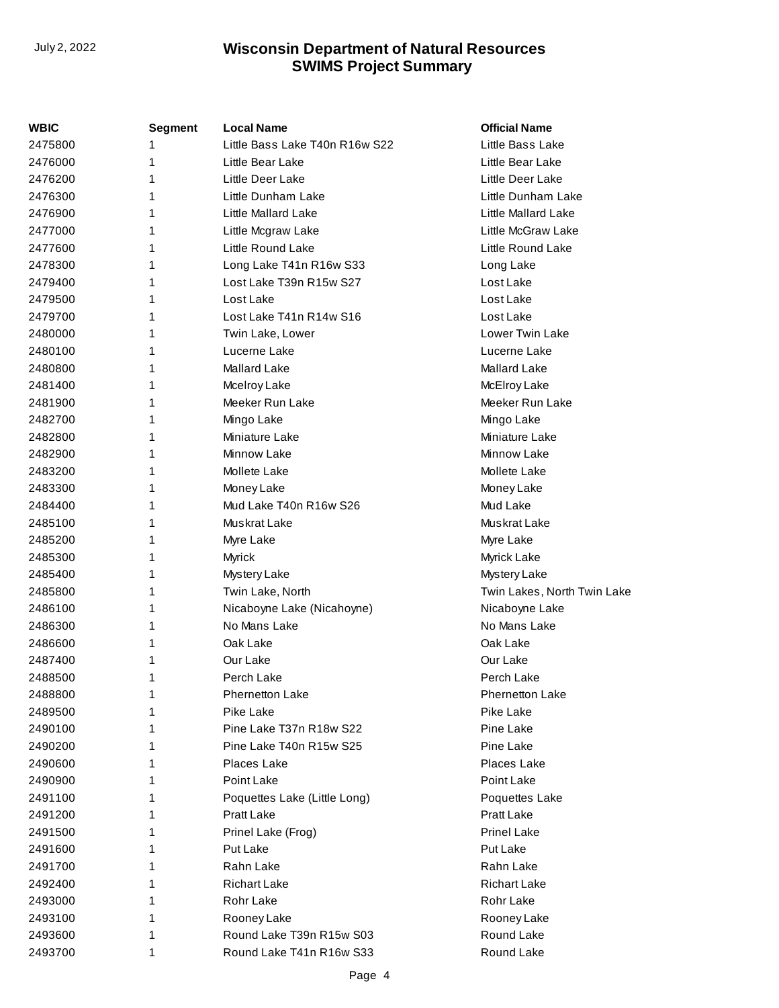| WBIC    | <b>Segment</b> | <b>Local Name</b>              | <b>Official Name</b>        |
|---------|----------------|--------------------------------|-----------------------------|
| 2475800 | 1              | Little Bass Lake T40n R16w S22 | Little Bass Lake            |
| 2476000 | 1              | Little Bear Lake               | Little Bear Lake            |
| 2476200 | 1              | Little Deer Lake               | Little Deer Lake            |
| 2476300 | 1              | Little Dunham Lake             | Little Dunham Lake          |
| 2476900 | 1              | <b>Little Mallard Lake</b>     | Little Mallard Lake         |
| 2477000 | 1              | Little Mcgraw Lake             | Little McGraw Lake          |
| 2477600 | 1              | Little Round Lake              | Little Round Lake           |
| 2478300 | 1              | Long Lake T41n R16w S33        | Long Lake                   |
| 2479400 | 1              | Lost Lake T39n R15w S27        | Lost Lake                   |
| 2479500 | 1              | Lost Lake                      | Lost Lake                   |
| 2479700 | 1              | Lost Lake T41n R14w S16        | Lost Lake                   |
| 2480000 | 1              | Twin Lake, Lower               | <b>Lower Twin Lake</b>      |
| 2480100 | 1              | Lucerne Lake                   | Lucerne Lake                |
| 2480800 | 1              | <b>Mallard Lake</b>            | Mallard Lake                |
| 2481400 | 1              | Mcelroy Lake                   | McElroy Lake                |
| 2481900 | 1              | Meeker Run Lake                | Meeker Run Lake             |
| 2482700 | 1              | Mingo Lake                     | Mingo Lake                  |
| 2482800 | 1              | Miniature Lake                 | Miniature Lake              |
| 2482900 | 1              | Minnow Lake                    | Minnow Lake                 |
| 2483200 | 1              | Mollete Lake                   | Mollete Lake                |
| 2483300 | 1              | Money Lake                     | Money Lake                  |
| 2484400 | 1              | Mud Lake T40n R16w S26         | Mud Lake                    |
| 2485100 | 1              | Muskrat Lake                   | Muskrat Lake                |
| 2485200 | 1              | Myre Lake                      | Myre Lake                   |
| 2485300 | 1              | Myrick                         | Myrick Lake                 |
| 2485400 | 1              | Mystery Lake                   | Mystery Lake                |
| 2485800 | 1              | Twin Lake, North               | Twin Lakes, North Twin Lake |
| 2486100 | 1              | Nicaboyne Lake (Nicahoyne)     | Nicaboyne Lake              |
| 2486300 | 1              | No Mans Lake                   | No Mans Lake                |
| 2486600 | 1              | Oak Lake                       | Oak Lake                    |
| 2487400 | 1              | Our Lake                       | Our Lake                    |
| 2488500 | 1              | Perch Lake                     | Perch Lake                  |
| 2488800 | 1              | <b>Phernetton Lake</b>         | <b>Phernetton Lake</b>      |
| 2489500 | 1              | Pike Lake                      | Pike Lake                   |
| 2490100 | 1              | Pine Lake T37n R18w S22        | Pine Lake                   |
| 2490200 | 1              | Pine Lake T40n R15w S25        | Pine Lake                   |
| 2490600 | 1              | Places Lake                    | Places Lake                 |
| 2490900 | 1              | Point Lake                     | Point Lake                  |
| 2491100 | 1              | Poquettes Lake (Little Long)   | Poquettes Lake              |
| 2491200 | 1              | Pratt Lake                     | Pratt Lake                  |
| 2491500 | 1              | Prinel Lake (Frog)             | <b>Prinel Lake</b>          |
| 2491600 | 1              | <b>Put Lake</b>                | Put Lake                    |
| 2491700 | 1              | Rahn Lake                      | Rahn Lake                   |
| 2492400 | 1              | <b>Richart Lake</b>            | <b>Richart Lake</b>         |
| 2493000 | 1              | Rohr Lake                      | Rohr Lake                   |
| 2493100 | 1              | Rooney Lake                    | Rooney Lake                 |
| 2493600 | 1              | Round Lake T39n R15w S03       | Round Lake                  |
| 2493700 | 1              | Round Lake T41n R16w S33       | Round Lake                  |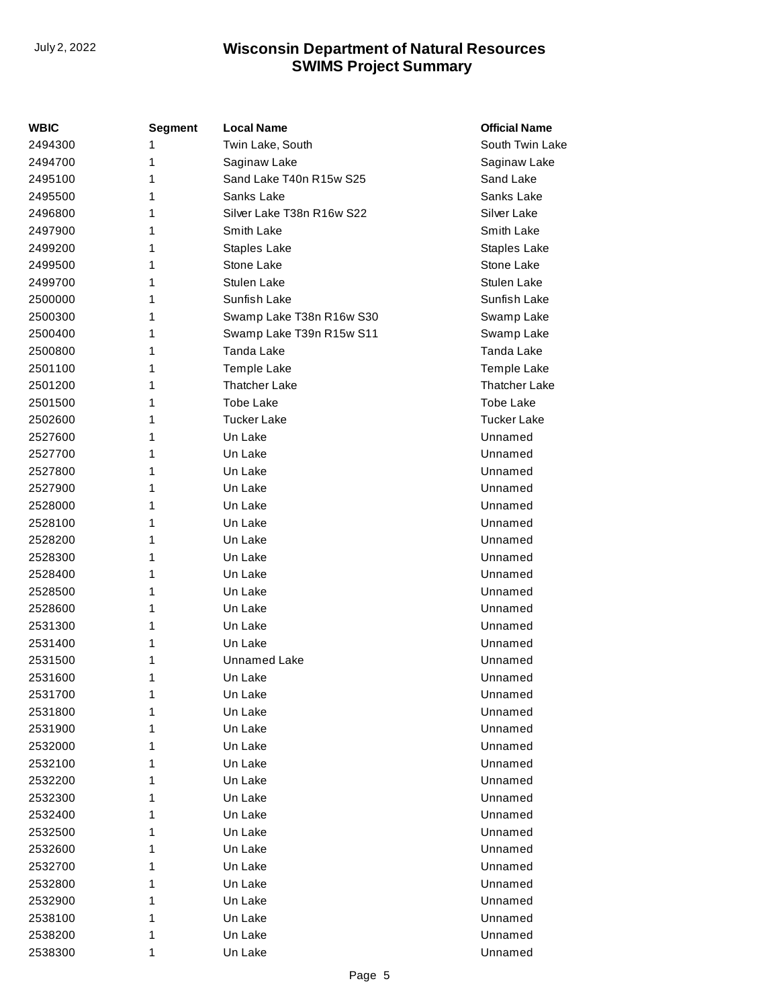| <b>WBIC</b> | <b>Segment</b> | <b>Local Name</b>         | <b>Official Name</b> |
|-------------|----------------|---------------------------|----------------------|
| 2494300     | 1              | Twin Lake, South          | South Twin Lake      |
| 2494700     | 1              | Saginaw Lake              | Saginaw Lake         |
| 2495100     | 1              | Sand Lake T40n R15w S25   | Sand Lake            |
| 2495500     | 1              | Sanks Lake                | Sanks Lake           |
| 2496800     | 1              | Silver Lake T38n R16w S22 | Silver Lake          |
| 2497900     | 1              | Smith Lake                | Smith Lake           |
| 2499200     | 1              | Staples Lake              | Staples Lake         |
| 2499500     | 1              | Stone Lake                | Stone Lake           |
| 2499700     | 1              | <b>Stulen Lake</b>        | Stulen Lake          |
| 2500000     | 1              | Sunfish Lake              | Sunfish Lake         |
| 2500300     | 1              | Swamp Lake T38n R16w S30  | Swamp Lake           |
| 2500400     | 1              | Swamp Lake T39n R15w S11  | Swamp Lake           |
| 2500800     | 1              | Tanda Lake                | Tanda Lake           |
| 2501100     | 1              | <b>Temple Lake</b>        | Temple Lake          |
| 2501200     | 1              | <b>Thatcher Lake</b>      | <b>Thatcher Lake</b> |
| 2501500     | 1              | <b>Tobe Lake</b>          | <b>Tobe Lake</b>     |
| 2502600     | 1              | <b>Tucker Lake</b>        | <b>Tucker Lake</b>   |
| 2527600     | 1              | Un Lake                   | Unnamed              |
| 2527700     | 1              | Un Lake                   | Unnamed              |
| 2527800     | 1              | Un Lake                   | Unnamed              |
| 2527900     | 1              | Un Lake                   | Unnamed              |
| 2528000     | 1              | Un Lake                   | Unnamed              |
| 2528100     | 1              | Un Lake                   | Unnamed              |
| 2528200     | 1              | Un Lake                   | Unnamed              |
| 2528300     | 1              | Un Lake                   | Unnamed              |
| 2528400     | 1              | Un Lake                   | Unnamed              |
| 2528500     | 1              | Un Lake                   | Unnamed              |
| 2528600     | 1              | Un Lake                   | Unnamed              |
| 2531300     | 1              | Un Lake                   | Unnamed              |
| 2531400     | 1              | Un Lake                   | Unnamed              |
| 2531500     | 1              | Unnamed Lake              | Unnamed              |
| 2531600     | 1              | Un Lake                   | Unnamed              |
| 2531700     | 1              | Un Lake                   | Unnamed              |
| 2531800     | 1              | Un Lake                   | Unnamed              |
| 2531900     | 1              | Un Lake                   | Unnamed              |
| 2532000     | 1              | Un Lake                   | Unnamed              |
| 2532100     | 1              | Un Lake                   | Unnamed              |
| 2532200     | 1              | Un Lake                   | Unnamed              |
| 2532300     | 1              | Un Lake                   | Unnamed              |
| 2532400     | 1              | Un Lake                   | Unnamed              |
| 2532500     | 1              | Un Lake                   | Unnamed              |
| 2532600     | 1              | Un Lake                   | Unnamed              |
| 2532700     | 1              | Un Lake                   | Unnamed              |
| 2532800     | 1              | Un Lake                   | Unnamed              |
| 2532900     | 1              | Un Lake                   | Unnamed              |
| 2538100     | 1              | Un Lake                   | Unnamed              |
| 2538200     | 1              | Un Lake                   | Unnamed              |
| 2538300     | 1              | Un Lake                   | Unnamed              |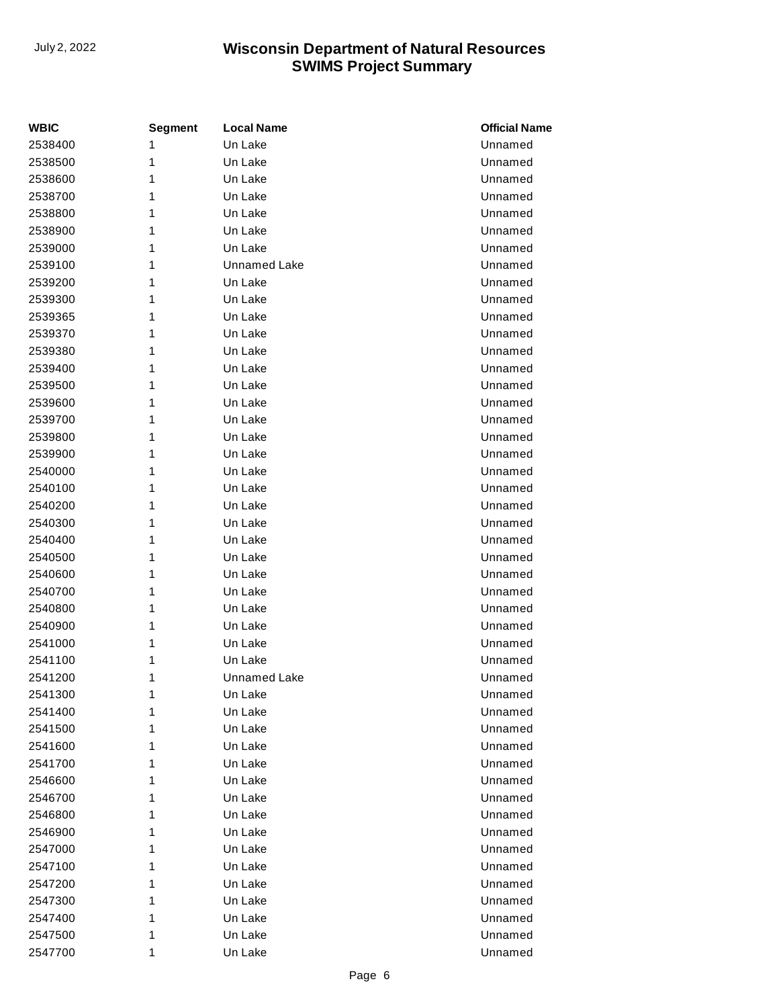| <b>WBIC</b> | <b>Segment</b> | <b>Local Name</b>   | <b>Official Name</b> |
|-------------|----------------|---------------------|----------------------|
| 2538400     | 1              | Un Lake             | Unnamed              |
| 2538500     | 1              | Un Lake             | Unnamed              |
| 2538600     | 1              | Un Lake             | Unnamed              |
| 2538700     | 1              | Un Lake             | Unnamed              |
| 2538800     | 1              | Un Lake             | Unnamed              |
| 2538900     | 1              | Un Lake             | Unnamed              |
| 2539000     | 1              | Un Lake             | Unnamed              |
| 2539100     | 1              | <b>Unnamed Lake</b> | Unnamed              |
| 2539200     | 1              | Un Lake             | Unnamed              |
| 2539300     | 1              | Un Lake             | Unnamed              |
| 2539365     | 1              | Un Lake             | Unnamed              |
| 2539370     | 1              | Un Lake             | Unnamed              |
| 2539380     | 1              | Un Lake             | Unnamed              |
| 2539400     | 1              | Un Lake             | Unnamed              |
| 2539500     | 1              | Un Lake             | Unnamed              |
| 2539600     | 1              | Un Lake             | Unnamed              |
| 2539700     | 1              | Un Lake             | Unnamed              |
| 2539800     | 1              | Un Lake             | Unnamed              |
| 2539900     | 1              | Un Lake             | Unnamed              |
| 2540000     | 1              | Un Lake             | Unnamed              |
| 2540100     | 1              | Un Lake             | Unnamed              |
| 2540200     | 1              | Un Lake             | Unnamed              |
| 2540300     | 1              | Un Lake             | Unnamed              |
| 2540400     | 1              | Un Lake             | Unnamed              |
| 2540500     | 1              | Un Lake             | Unnamed              |
| 2540600     | 1              | Un Lake             | Unnamed              |
| 2540700     | 1              | Un Lake             | Unnamed              |
| 2540800     | 1              | Un Lake             | Unnamed              |
| 2540900     | 1              | Un Lake             | Unnamed              |
| 2541000     | 1              | Un Lake             | Unnamed              |
| 2541100     | 1              | Un Lake             | Unnamed              |
| 2541200     | 1              | <b>Unnamed Lake</b> | Unnamed              |
| 2541300     | 1              | Un Lake             | Unnamed              |
| 2541400     | 1              | Un Lake             | Unnamed              |
| 2541500     | 1              | Un Lake             | Unnamed              |
| 2541600     | 1              | Un Lake             | Unnamed              |
| 2541700     | 1              | Un Lake             | Unnamed              |
| 2546600     | 1              | Un Lake             | Unnamed              |
| 2546700     | 1              | Un Lake             | Unnamed              |
| 2546800     | 1              | Un Lake             | Unnamed              |
| 2546900     | 1              | Un Lake             | Unnamed              |
| 2547000     | 1              | Un Lake             | Unnamed              |
| 2547100     | 1              | Un Lake             | Unnamed              |
| 2547200     | 1              | Un Lake             | Unnamed              |
| 2547300     | 1              | Un Lake             | Unnamed              |
| 2547400     | 1              | Un Lake             | Unnamed              |
| 2547500     | 1              | Un Lake             | Unnamed              |
| 2547700     | 1              | Un Lake             | Unnamed              |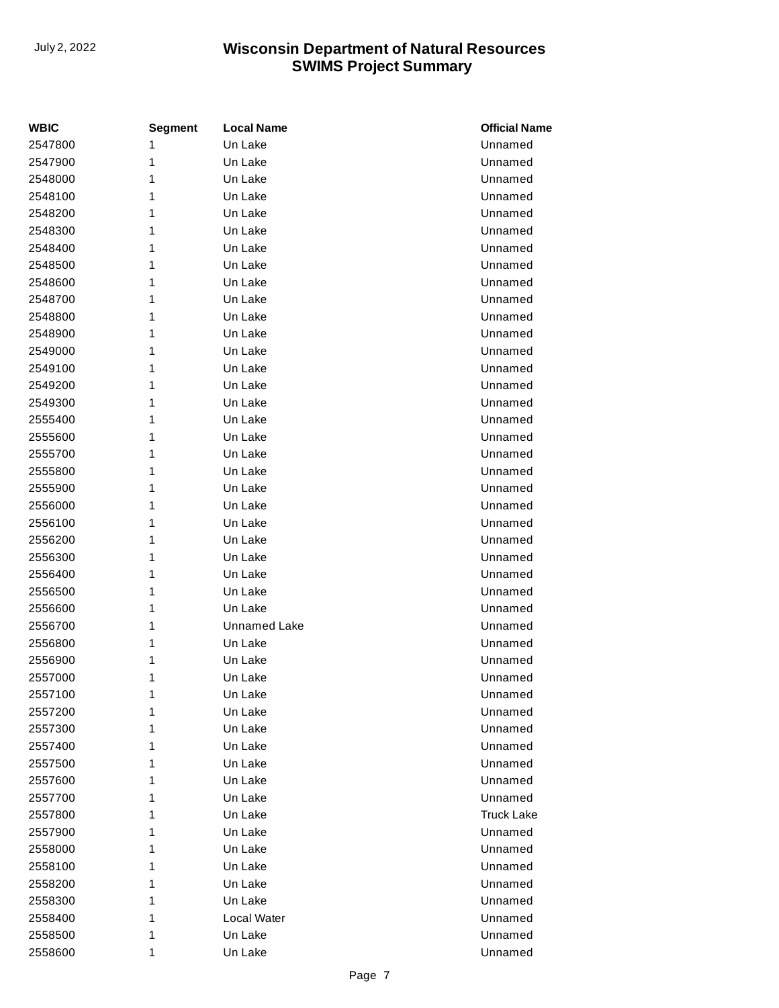| <b>WBIC</b> | <b>Segment</b> | <b>Local Name</b>   | <b>Official Name</b> |
|-------------|----------------|---------------------|----------------------|
| 2547800     | 1              | Un Lake             | Unnamed              |
| 2547900     | 1              | Un Lake             | Unnamed              |
| 2548000     | 1              | Un Lake             | Unnamed              |
| 2548100     | 1              | Un Lake             | Unnamed              |
| 2548200     | 1              | Un Lake             | Unnamed              |
| 2548300     | 1              | Un Lake             | Unnamed              |
| 2548400     | 1              | Un Lake             | Unnamed              |
| 2548500     | 1              | Un Lake             | Unnamed              |
| 2548600     | 1              | Un Lake             | Unnamed              |
| 2548700     | 1              | Un Lake             | Unnamed              |
| 2548800     | 1              | Un Lake             | Unnamed              |
| 2548900     | 1              | Un Lake             | Unnamed              |
| 2549000     | 1              | Un Lake             | Unnamed              |
| 2549100     | 1              | Un Lake             | Unnamed              |
| 2549200     | 1              | Un Lake             | Unnamed              |
| 2549300     | 1              | Un Lake             | Unnamed              |
| 2555400     | 1              | Un Lake             | Unnamed              |
| 2555600     | 1              | Un Lake             | Unnamed              |
| 2555700     | 1              | Un Lake             | Unnamed              |
| 2555800     | 1              | Un Lake             | Unnamed              |
| 2555900     | 1              | Un Lake             | Unnamed              |
| 2556000     | 1              | Un Lake             | Unnamed              |
| 2556100     | 1              | Un Lake             | Unnamed              |
| 2556200     | 1              | Un Lake             | Unnamed              |
| 2556300     | 1              | Un Lake             | Unnamed              |
| 2556400     | 1              | Un Lake             | Unnamed              |
| 2556500     | 1              | Un Lake             | Unnamed              |
| 2556600     | 1              | Un Lake             | Unnamed              |
| 2556700     | 1              | <b>Unnamed Lake</b> | Unnamed              |
| 2556800     | 1              | Un Lake             | Unnamed              |
| 2556900     | 1              | Un Lake             | Unnamed              |
| 2557000     | 1              | Un Lake             | Unnamed              |
| 2557100     | 1              | Un Lake             | Unnamed              |
| 2557200     | 1              | Un Lake             | Unnamed              |
| 2557300     | 1              | Un Lake             | Unnamed              |
| 2557400     | 1              | Un Lake             | Unnamed              |
| 2557500     | 1              | Un Lake             | Unnamed              |
| 2557600     | 1              | Un Lake             | Unnamed              |
| 2557700     | 1              | Un Lake             | Unnamed              |
| 2557800     | 1              | Un Lake             | <b>Truck Lake</b>    |
| 2557900     | 1              | Un Lake             | Unnamed              |
| 2558000     | 1              | Un Lake             | Unnamed              |
| 2558100     | 1              | Un Lake             | Unnamed              |
| 2558200     | 1              | Un Lake             | Unnamed              |
| 2558300     | 1              | Un Lake             | Unnamed              |
| 2558400     | 1              | Local Water         | Unnamed              |
| 2558500     | 1              | Un Lake             | Unnamed              |
| 2558600     | 1              | Un Lake             | Unnamed              |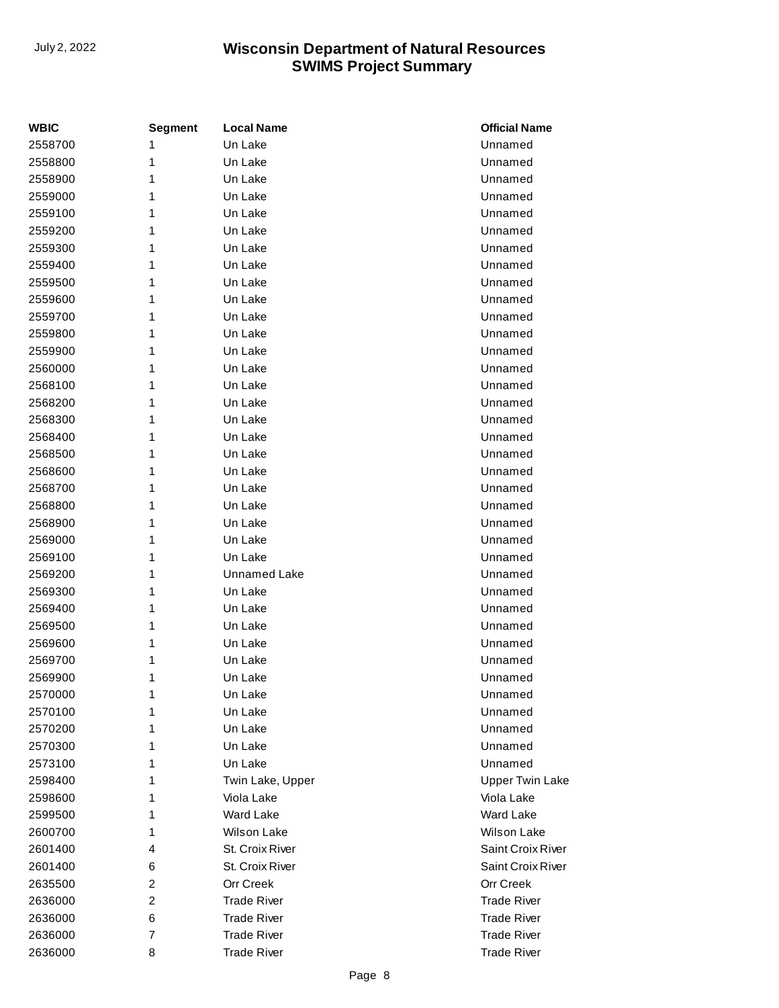| <b>WBIC</b> | <b>Segment</b> | <b>Local Name</b>  | <b>Official Name</b>   |
|-------------|----------------|--------------------|------------------------|
| 2558700     | 1              | Un Lake            | Unnamed                |
| 2558800     | 1              | Un Lake            | Unnamed                |
| 2558900     | 1              | Un Lake            | Unnamed                |
| 2559000     | 1              | Un Lake            | Unnamed                |
| 2559100     | 1              | Un Lake            | Unnamed                |
| 2559200     | 1              | Un Lake            | Unnamed                |
| 2559300     | 1              | Un Lake            | Unnamed                |
| 2559400     | 1              | Un Lake            | Unnamed                |
| 2559500     | 1              | Un Lake            | Unnamed                |
| 2559600     | 1              | Un Lake            | Unnamed                |
| 2559700     | 1              | Un Lake            | Unnamed                |
| 2559800     | 1              | Un Lake            | Unnamed                |
| 2559900     | 1              | Un Lake            | Unnamed                |
| 2560000     | 1              | Un Lake            | Unnamed                |
| 2568100     | 1              | Un Lake            | Unnamed                |
| 2568200     | 1              | Un Lake            | Unnamed                |
| 2568300     | 1              | Un Lake            | Unnamed                |
| 2568400     | 1              | Un Lake            | Unnamed                |
| 2568500     | 1              | Un Lake            | Unnamed                |
| 2568600     | 1              | Un Lake            | Unnamed                |
| 2568700     | 1              | Un Lake            | Unnamed                |
| 2568800     | 1              | Un Lake            | Unnamed                |
| 2568900     | 1              | Un Lake            | Unnamed                |
| 2569000     | 1              | Un Lake            | Unnamed                |
| 2569100     | 1              | Un Lake            | Unnamed                |
| 2569200     | 1              | Unnamed Lake       | Unnamed                |
| 2569300     | 1              | Un Lake            | Unnamed                |
| 2569400     | 1              | Un Lake            | Unnamed                |
| 2569500     | 1              | Un Lake            | Unnamed                |
| 2569600     | 1              | Un Lake            | Unnamed                |
| 2569700     | 1              | Un Lake            | Unnamed                |
| 2569900     | 1              | Un Lake            | Unnamed                |
| 2570000     | 1              | Un Lake            | Unnamed                |
| 2570100     | 1              | Un Lake            | Unnamed                |
| 2570200     | 1              | Un Lake            | Unnamed                |
| 2570300     | 1              | Un Lake            | Unnamed                |
| 2573100     | 1              | Un Lake            | Unnamed                |
| 2598400     | 1              | Twin Lake, Upper   | <b>Upper Twin Lake</b> |
| 2598600     | 1              | Viola Lake         | Viola Lake             |
| 2599500     | 1              | Ward Lake          | Ward Lake              |
| 2600700     | 1              | Wilson Lake        | <b>Wilson Lake</b>     |
| 2601400     | 4              | St. Croix River    | Saint Croix River      |
| 2601400     | 6              | St. Croix River    | Saint Croix River      |
| 2635500     | 2              | <b>Orr Creek</b>   | Orr Creek              |
| 2636000     | 2              | <b>Trade River</b> | <b>Trade River</b>     |
| 2636000     | 6              | <b>Trade River</b> | <b>Trade River</b>     |
| 2636000     | 7              | <b>Trade River</b> | <b>Trade River</b>     |
| 2636000     | 8              | <b>Trade River</b> | <b>Trade River</b>     |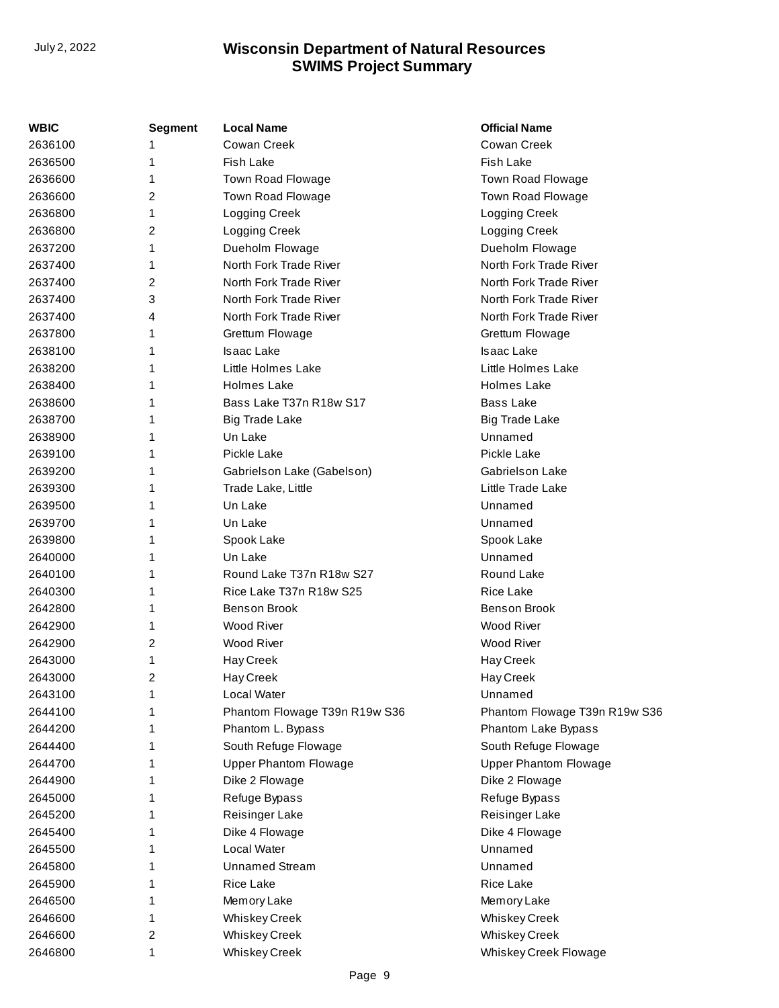| WBIC    | Segment        | <b>Local Name</b>             | <b>Official Name</b>          |
|---------|----------------|-------------------------------|-------------------------------|
| 2636100 |                | Cowan Creek                   | Cowan Creek                   |
| 2636500 | 1              | <b>Fish Lake</b>              | <b>Fish Lake</b>              |
| 2636600 | 1              | Town Road Flowage             | Town Road Flowage             |
| 2636600 | 2              | Town Road Flowage             | Town Road Flowage             |
| 2636800 | 1              | Logging Creek                 | Logging Creek                 |
| 2636800 | 2              | Logging Creek                 | Logging Creek                 |
| 2637200 | 1              | Dueholm Flowage               | Dueholm Flowage               |
| 2637400 | 1              | North Fork Trade River        | North Fork Trade River        |
| 2637400 | 2              | North Fork Trade River        | North Fork Trade River        |
| 2637400 | 3              | North Fork Trade River        | North Fork Trade River        |
| 2637400 | 4              | North Fork Trade River        | North Fork Trade River        |
| 2637800 | 1              | Grettum Flowage               | Grettum Flowage               |
| 2638100 | 1              | <b>Isaac Lake</b>             | Isaac Lake                    |
| 2638200 | 1              | Little Holmes Lake            | Little Holmes Lake            |
| 2638400 |                | <b>Holmes Lake</b>            | <b>Holmes Lake</b>            |
| 2638600 | 1              | Bass Lake T37n R18w S17       | <b>Bass Lake</b>              |
| 2638700 | 1              | <b>Big Trade Lake</b>         | <b>Big Trade Lake</b>         |
| 2638900 | 1              | Un Lake                       | Unnamed                       |
| 2639100 | 1              | Pickle Lake                   | Pickle Lake                   |
| 2639200 | 1              | Gabrielson Lake (Gabelson)    | Gabriels on Lake              |
| 2639300 | 1              | Trade Lake, Little            | Little Trade Lake             |
| 2639500 | 1              | Un Lake                       | Unnamed                       |
| 2639700 | 1              | Un Lake                       | Unnamed                       |
| 2639800 | 1              | Spook Lake                    | Spook Lake                    |
| 2640000 | 1              | Un Lake                       | Unnamed                       |
| 2640100 | 1              | Round Lake T37n R18w S27      | Round Lake                    |
| 2640300 | 1              | Rice Lake T37n R18w S25       | Rice Lake                     |
| 2642800 | 1              | <b>Benson Brook</b>           | <b>Benson Brook</b>           |
| 2642900 | 1              | <b>Wood River</b>             | <b>Wood River</b>             |
| 2642900 | 2              | Wood River                    | Wood River                    |
| 2643000 | 1              | Hay Creek                     | Hay Creek                     |
| 2643000 | 2              | Hay Creek                     | Hay Creek                     |
| 2643100 | 1              | Local Water                   | Unnamed                       |
| 2644100 |                | Phantom Flowage T39n R19w S36 | Phantom Flowage T39n R19w S36 |
| 2644200 |                | Phantom L. Bypass             | Phantom Lake Bypass           |
| 2644400 |                | South Refuge Flowage          | South Refuge Flowage          |
| 2644700 | 1              | <b>Upper Phantom Flowage</b>  | <b>Upper Phantom Flowage</b>  |
| 2644900 | 1              | Dike 2 Flowage                | Dike 2 Flowage                |
| 2645000 |                | Refuge Bypass                 | Refuge Bypass                 |
| 2645200 |                | Reisinger Lake                | Reisinger Lake                |
| 2645400 | 1              | Dike 4 Flowage                | Dike 4 Flowage                |
| 2645500 | 1              | Local Water                   | Unnamed                       |
| 2645800 |                | <b>Unnamed Stream</b>         | Unnamed                       |
| 2645900 | 1              | Rice Lake                     | Rice Lake                     |
| 2646500 | 1              | Memory Lake                   | Memory Lake                   |
| 2646600 | 1              | <b>Whiskey Creek</b>          | <b>Whiskey Creek</b>          |
| 2646600 | $\overline{c}$ | <b>Whiskey Creek</b>          | <b>Whiskey Creek</b>          |
| 2646800 | 1              | <b>Whiskey Creek</b>          | Whiskey Creek Flowage         |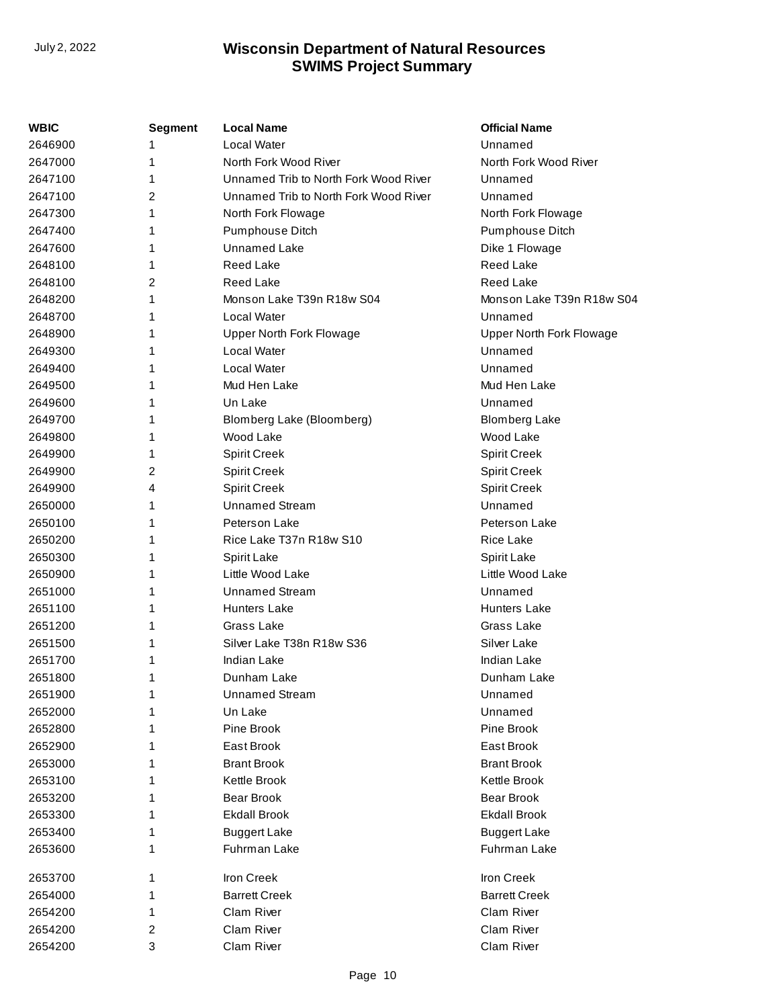| WBIC    | <b>Segment</b> | <b>Local Name</b>                     | <b>Official Name</b>      |
|---------|----------------|---------------------------------------|---------------------------|
| 2646900 |                | Local Water                           | Unnamed                   |
| 2647000 | 1              | North Fork Wood River                 | North Fork Wood River     |
| 2647100 | 1              | Unnamed Trib to North Fork Wood River | Unnamed                   |
| 2647100 | 2              | Unnamed Trib to North Fork Wood River | Unnamed                   |
| 2647300 | 1              | North Fork Flowage                    | North Fork Flowage        |
| 2647400 | 1              | Pumphouse Ditch                       | Pumphouse Ditch           |
| 2647600 | 1              | <b>Unnamed Lake</b>                   | Dike 1 Flowage            |
| 2648100 | 1              | <b>Reed Lake</b>                      | Reed Lake                 |
| 2648100 | 2              | <b>Reed Lake</b>                      | Reed Lake                 |
| 2648200 | 1              | Monson Lake T39n R18w S04             | Monson Lake T39n R18w S04 |
| 2648700 | 1              | Local Water                           | Unnamed                   |
| 2648900 | 1              | Upper North Fork Flowage              | Upper North Fork Flowage  |
| 2649300 | 1              | <b>Local Water</b>                    | Unnamed                   |
| 2649400 |                | Local Water                           | Unnamed                   |
| 2649500 | 1              | Mud Hen Lake                          | Mud Hen Lake              |
| 2649600 | 1              | Un Lake                               | Unnamed                   |
| 2649700 | 1              | Blomberg Lake (Bloomberg)             | <b>Blomberg Lake</b>      |
| 2649800 | 1              | Wood Lake                             | Wood Lake                 |
| 2649900 | 1              | <b>Spirit Creek</b>                   | <b>Spirit Creek</b>       |
| 2649900 | 2              | <b>Spirit Creek</b>                   | <b>Spirit Creek</b>       |
| 2649900 | 4              | <b>Spirit Creek</b>                   | <b>Spirit Creek</b>       |
| 2650000 | 1              | <b>Unnamed Stream</b>                 | Unnamed                   |
| 2650100 | 1              | Peterson Lake                         | <b>Peterson Lake</b>      |
| 2650200 | 1              | Rice Lake T37n R18w S10               | Rice Lake                 |
| 2650300 | 1              | Spirit Lake                           | Spirit Lake               |
| 2650900 | 1              | Little Wood Lake                      | Little Wood Lake          |
| 2651000 | 1              | <b>Unnamed Stream</b>                 | Unnamed                   |
| 2651100 | 1              | Hunters Lake                          | <b>Hunters Lake</b>       |
| 2651200 | 1              | Grass Lake                            | Grass Lake                |
| 2651500 |                | Silver Lake T38n R18w S36             | Silver Lake               |
| 2651700 | 1              | <b>Indian Lake</b>                    | <b>Indian Lake</b>        |
| 2651800 | 1              | Dunham Lake                           | Dunham Lake               |
| 2651900 | 1              | <b>Unnamed Stream</b>                 | Unnamed                   |
| 2652000 |                | Un Lake                               | Unnamed                   |
| 2652800 |                | Pine Brook                            | Pine Brook                |
| 2652900 |                | East Brook                            | East Brook                |
| 2653000 |                | <b>Brant Brook</b>                    | <b>Brant Brook</b>        |
| 2653100 |                | Kettle Brook                          | Kettle Brook              |
| 2653200 |                | <b>Bear Brook</b>                     | <b>Bear Brook</b>         |
| 2653300 |                | <b>Ekdall Brook</b>                   | <b>Ekdall Brook</b>       |
| 2653400 |                | <b>Buggert Lake</b>                   | <b>Buggert Lake</b>       |
| 2653600 |                | Fuhrman Lake                          | Fuhrman Lake              |
| 2653700 | 1              | Iron Creek                            | Iron Creek                |
| 2654000 |                | <b>Barrett Creek</b>                  | <b>Barrett Creek</b>      |
| 2654200 |                | Clam River                            | Clam River                |
| 2654200 | 2              | Clam River                            | Clam River                |
| 2654200 | 3              | Clam River                            | Clam River                |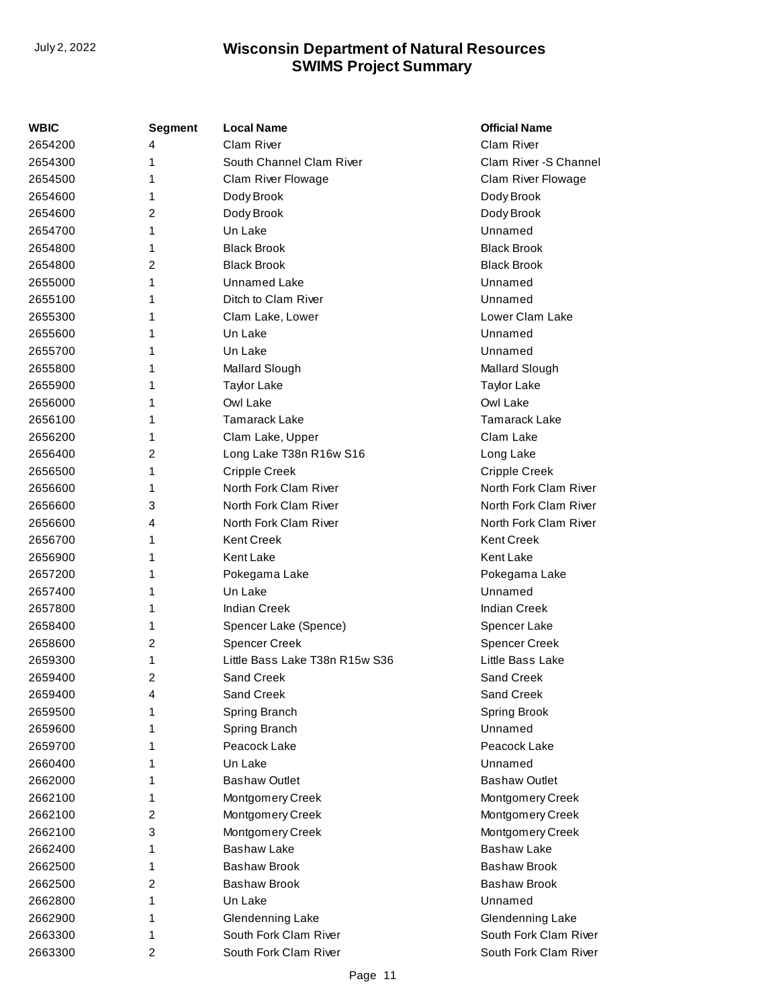| WBIC    | <b>Segment</b> | <b>Local Name</b>              | <b>Official Name</b>   |
|---------|----------------|--------------------------------|------------------------|
| 2654200 | 4              | Clam River                     | Clam River             |
| 2654300 | 1              | South Channel Clam River       | Clam River - S Channel |
| 2654500 | 1              | Clam River Flowage             | Clam River Flowage     |
| 2654600 | 1              | Dody Brook                     | Dody Brook             |
| 2654600 | 2              | Dody Brook                     | Dody Brook             |
| 2654700 | 1              | Un Lake                        | Unnamed                |
| 2654800 | 1              | <b>Black Brook</b>             | <b>Black Brook</b>     |
| 2654800 | 2              | <b>Black Brook</b>             | <b>Black Brook</b>     |
| 2655000 | 1              | Unnamed Lake                   | Unnamed                |
| 2655100 | 1              | Ditch to Clam River            | Unnamed                |
| 2655300 | 1              | Clam Lake, Lower               | Lower Clam Lake        |
| 2655600 | 1              | Un Lake                        | Unnamed                |
| 2655700 | 1              | Un Lake                        | Unnamed                |
| 2655800 | 1              | Mallard Slough                 | Mallard Slough         |
| 2655900 | 1              | <b>Taylor Lake</b>             | <b>Taylor Lake</b>     |
| 2656000 | 1              | Owl Lake                       | Owl Lake               |
| 2656100 | 1              | <b>Tamarack Lake</b>           | <b>Tamarack Lake</b>   |
| 2656200 | 1              | Clam Lake, Upper               | Clam Lake              |
| 2656400 | 2              | Long Lake T38n R16w S16        | Long Lake              |
| 2656500 | 1              | <b>Cripple Creek</b>           | <b>Cripple Creek</b>   |
| 2656600 | 1              | North Fork Clam River          | North Fork Clam River  |
| 2656600 | 3              | North Fork Clam River          | North Fork Clam River  |
| 2656600 | 4              | North Fork Clam River          | North Fork Clam River  |
| 2656700 | 1              | <b>Kent Creek</b>              | <b>Kent Creek</b>      |
| 2656900 | 1              | <b>Kent Lake</b>               | <b>Kent Lake</b>       |
| 2657200 | 1              | Pokegama Lake                  | Pokegama Lake          |
| 2657400 | 1              | Un Lake                        | Unnamed                |
| 2657800 | 1              | <b>Indian Creek</b>            | <b>Indian Creek</b>    |
| 2658400 | 1              | Spencer Lake (Spence)          | Spencer Lake           |
| 2658600 | 2              | <b>Spencer Creek</b>           | <b>Spencer Creek</b>   |
| 2659300 | 1              | Little Bass Lake T38n R15w S36 | Little Bass Lake       |
| 2659400 | 2              | Sand Creek                     | Sand Creek             |
| 2659400 | 4              | Sand Creek                     | Sand Creek             |
| 2659500 | 1              | Spring Branch                  | Spring Brook           |
| 2659600 | 1              | Spring Branch                  | Unnamed                |
| 2659700 | 1              | Peacock Lake                   | Peacock Lake           |
| 2660400 | 1              | Un Lake                        | Unnamed                |
| 2662000 | 1              | <b>Bashaw Outlet</b>           | <b>Bashaw Outlet</b>   |
| 2662100 | 1              | Montgomery Creek               | Montgomery Creek       |
| 2662100 | $\overline{2}$ | Montgomery Creek               | Montgomery Creek       |
| 2662100 | 3              | Montgomery Creek               | Montgomery Creek       |
| 2662400 | 1              | <b>Bashaw Lake</b>             | <b>Bashaw Lake</b>     |
| 2662500 | 1              | <b>Bashaw Brook</b>            | <b>Bashaw Brook</b>    |
| 2662500 | 2              | <b>Bashaw Brook</b>            | <b>Bashaw Brook</b>    |
| 2662800 | 1              | Un Lake                        | Unnamed                |
| 2662900 | 1              | Glendenning Lake               | Glendenning Lake       |
| 2663300 | 1              | South Fork Clam River          | South Fork Clam River  |
| 2663300 | 2              | South Fork Clam River          | South Fork Clam River  |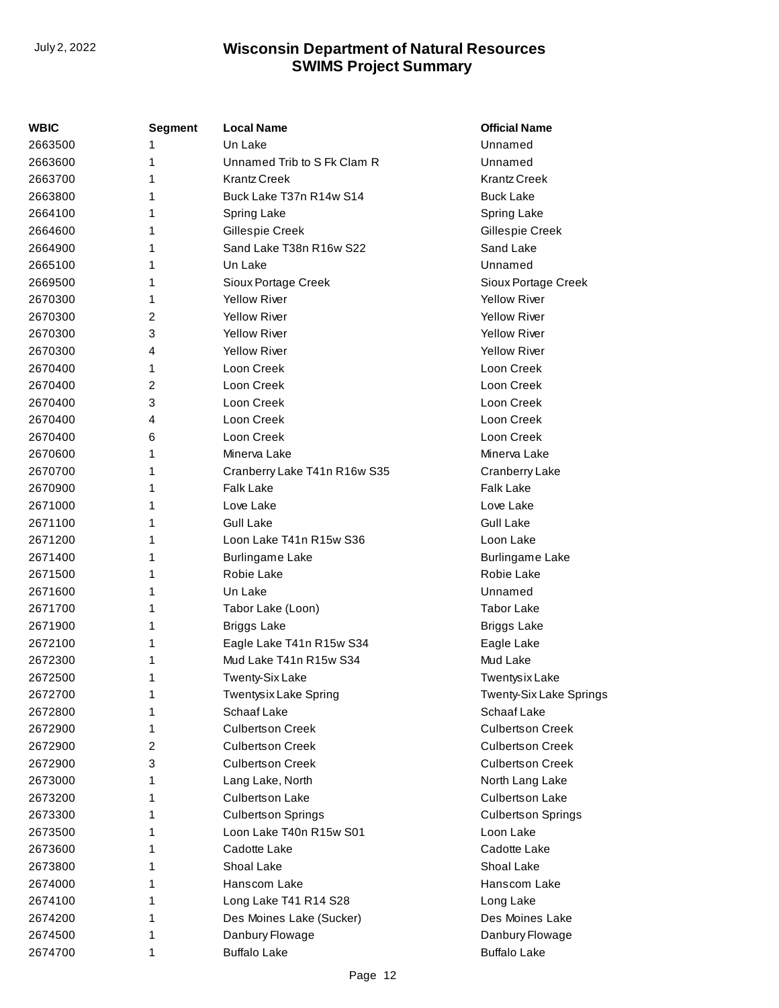| WBIC    | Segment | <b>Local Name</b>            | <b>Official Name</b>      |
|---------|---------|------------------------------|---------------------------|
| 2663500 | 1       | Un Lake                      | Unnamed                   |
| 2663600 | 1       | Unnamed Trib to S Fk Clam R  | Unnamed                   |
| 2663700 | 1       | <b>Krantz Creek</b>          | <b>Krantz Creek</b>       |
| 2663800 | 1       | Buck Lake T37n R14w S14      | <b>Buck Lake</b>          |
| 2664100 | 1       | Spring Lake                  | Spring Lake               |
| 2664600 | 1       | Gillespie Creek              | Gillespie Creek           |
| 2664900 | 1       | Sand Lake T38n R16w S22      | Sand Lake                 |
| 2665100 | 1       | Un Lake                      | Unnamed                   |
| 2669500 | 1       | Sioux Portage Creek          | Sioux Portage Creek       |
| 2670300 | 1       | <b>Yellow River</b>          | <b>Yellow River</b>       |
| 2670300 | 2       | <b>Yellow River</b>          | <b>Yellow River</b>       |
| 2670300 | 3       | <b>Yellow River</b>          | <b>Yellow River</b>       |
| 2670300 | 4       | <b>Yellow River</b>          | <b>Yellow River</b>       |
| 2670400 | 1       | Loon Creek                   | Loon Creek                |
| 2670400 | 2       | Loon Creek                   | Loon Creek                |
| 2670400 | 3       | Loon Creek                   | Loon Creek                |
| 2670400 | 4       | Loon Creek                   | Loon Creek                |
| 2670400 | 6       | Loon Creek                   | Loon Creek                |
| 2670600 | 1       | Minerva Lake                 | Minerva Lake              |
| 2670700 | 1       | Cranberry Lake T41n R16w S35 | Cranberry Lake            |
| 2670900 | 1       | <b>Falk Lake</b>             | <b>Falk Lake</b>          |
| 2671000 | 1       | Love Lake                    | Love Lake                 |
| 2671100 | 1       | <b>Gull Lake</b>             | <b>Gull Lake</b>          |
| 2671200 | 1       | Loon Lake T41n R15w S36      | Loon Lake                 |
| 2671400 | 1       | <b>Burlingame Lake</b>       | <b>Burlingame Lake</b>    |
| 2671500 | 1       | Robie Lake                   | Robie Lake                |
| 2671600 | 1       | Un Lake                      | Unnamed                   |
| 2671700 | 1       | Tabor Lake (Loon)            | <b>Tabor Lake</b>         |
| 2671900 | 1       | <b>Briggs Lake</b>           | <b>Briggs Lake</b>        |
| 2672100 | 1       | Eagle Lake T41n R15w S34     | Eagle Lake                |
| 2672300 | 1       | Mud Lake T41n R15w S34       | Mud Lake                  |
| 2672500 | 1       | <b>Twenty-Six Lake</b>       | Twentysix Lake            |
| 2672700 | 1       | Twentysix Lake Spring        | Twenty-Six Lake Springs   |
| 2672800 | 1       | Schaaf Lake                  | Schaaf Lake               |
| 2672900 | 1       | <b>Culbertson Creek</b>      | <b>Culbertson Creek</b>   |
| 2672900 | 2       | <b>Culbertson Creek</b>      | <b>Culbertson Creek</b>   |
| 2672900 | 3       | <b>Culbertson Creek</b>      | <b>Culbertson Creek</b>   |
| 2673000 | 1       | Lang Lake, North             | North Lang Lake           |
| 2673200 | 1       | <b>Culbertson Lake</b>       | <b>Culbertson Lake</b>    |
| 2673300 | 1       | <b>Culbertson Springs</b>    | <b>Culbertson Springs</b> |
| 2673500 | 1       | Loon Lake T40n R15w S01      | Loon Lake                 |
| 2673600 | 1       | Cadotte Lake                 | Cadotte Lake              |
| 2673800 | 1       | Shoal Lake                   | Shoal Lake                |
| 2674000 | 1       | Hanscom Lake                 | Hanscom Lake              |
| 2674100 | 1       | Long Lake T41 R14 S28        | Long Lake                 |
| 2674200 | 1       | Des Moines Lake (Sucker)     | Des Moines Lake           |
| 2674500 | 1       | Danbury Flowage              | Danbury Flowage           |
| 2674700 | 1       | <b>Buffalo Lake</b>          | <b>Buffalo Lake</b>       |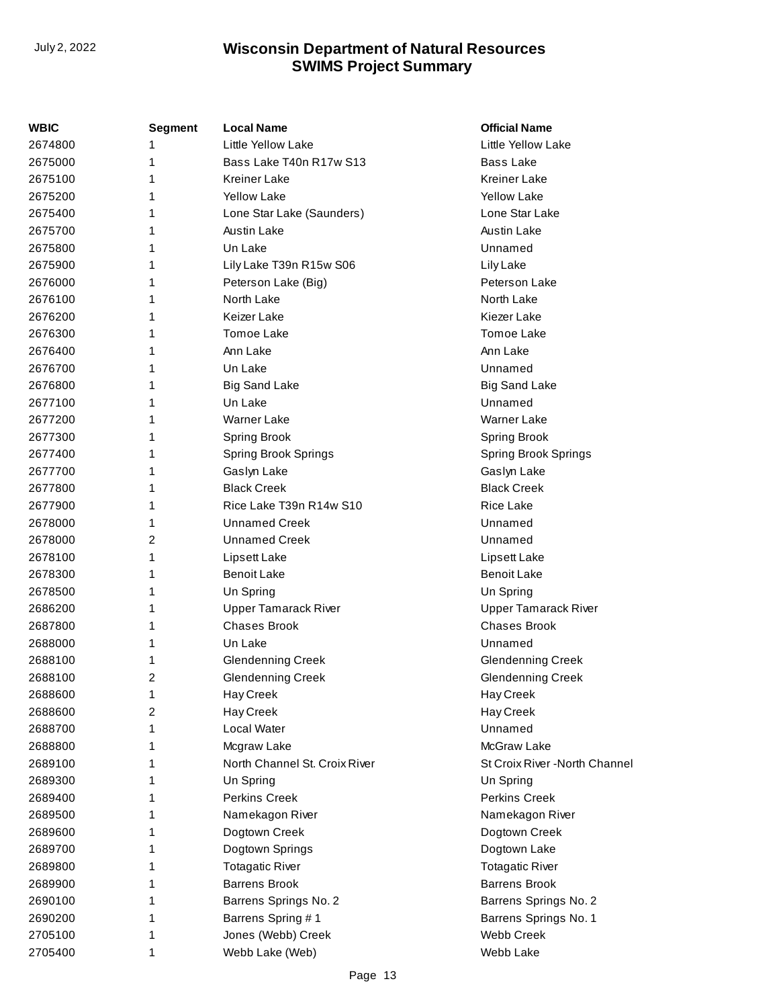| <b>WBIC</b> | <b>Segment</b> | <b>Local Name</b>             | <b>Official Name</b>           |
|-------------|----------------|-------------------------------|--------------------------------|
| 2674800     | 1              | Little Yellow Lake            | Little Yellow Lake             |
| 2675000     | 1              | Bass Lake T40n R17w S13       | Bass Lake                      |
| 2675100     | 1              | <b>Kreiner Lake</b>           | <b>Kreiner Lake</b>            |
| 2675200     | 1              | <b>Yellow Lake</b>            | <b>Yellow Lake</b>             |
| 2675400     | 1              | Lone Star Lake (Saunders)     | Lone Star Lake                 |
| 2675700     | 1              | <b>Austin Lake</b>            | Austin Lake                    |
| 2675800     | 1              | Un Lake                       | Unnamed                        |
| 2675900     | 1              | Lily Lake T39n R15w S06       | Lily Lake                      |
| 2676000     | 1              | Peterson Lake (Big)           | Peterson Lake                  |
| 2676100     | 1              | North Lake                    | North Lake                     |
| 2676200     | 1              | Keizer Lake                   | Kiezer Lake                    |
| 2676300     | 1              | <b>Tomoe Lake</b>             | Tomoe Lake                     |
| 2676400     | 1              | Ann Lake                      | Ann Lake                       |
| 2676700     | 1              | Un Lake                       | Unnamed                        |
| 2676800     | 1              | <b>Big Sand Lake</b>          | Big Sand Lake                  |
| 2677100     | 1              | Un Lake                       | Unnamed                        |
| 2677200     | 1              | <b>Warner Lake</b>            | <b>Warner Lake</b>             |
| 2677300     | 1              | <b>Spring Brook</b>           | Spring Brook                   |
| 2677400     | 1              | <b>Spring Brook Springs</b>   | <b>Spring Brook Springs</b>    |
| 2677700     | 1              | Gaslyn Lake                   | Gaslyn Lake                    |
| 2677800     | 1              | <b>Black Creek</b>            | <b>Black Creek</b>             |
| 2677900     | 1              | Rice Lake T39n R14w S10       | <b>Rice Lake</b>               |
| 2678000     | 1              | <b>Unnamed Creek</b>          | Unnamed                        |
| 2678000     | 2              | Unnamed Creek                 | Unnamed                        |
| 2678100     | 1              | Lipsett Lake                  | Lipsett Lake                   |
| 2678300     | 1              | <b>Benoit Lake</b>            | <b>Benoit Lake</b>             |
| 2678500     | 1              | Un Spring                     | Un Spring                      |
| 2686200     | 1              | <b>Upper Tamarack River</b>   | <b>Upper Tamarack River</b>    |
| 2687800     | 1              | <b>Chases Brook</b>           | <b>Chases Brook</b>            |
| 2688000     | 1              | Un Lake                       | Unnamed                        |
| 2688100     | 1              | <b>Glendenning Creek</b>      | <b>Glendenning Creek</b>       |
| 2688100     | 2              | <b>Glendenning Creek</b>      | <b>Glendenning Creek</b>       |
| 2688600     | 1              | Hay Creek                     | Hay Creek                      |
| 2688600     | 2              | Hay Creek                     | Hay Creek                      |
| 2688700     | 1              | Local Water                   | Unnamed                        |
| 2688800     | 1              | Mcgraw Lake                   | McGraw Lake                    |
| 2689100     | 1              | North Channel St. Croix River | St Croix River - North Channel |
| 2689300     | 1              | Un Spring                     | Un Spring                      |
| 2689400     | 1              | <b>Perkins Creek</b>          | <b>Perkins Creek</b>           |
| 2689500     | 1              | Namekagon River               | Namekagon River                |
| 2689600     | 1              | Dogtown Creek                 | Dogtown Creek                  |
| 2689700     | 1              | Dogtown Springs               | Dogtown Lake                   |
| 2689800     | 1              | <b>Totagatic River</b>        | <b>Totagatic River</b>         |
| 2689900     | 1              | <b>Barrens Brook</b>          | <b>Barrens Brook</b>           |
| 2690100     | 1              | Barrens Springs No. 2         | Barrens Springs No. 2          |
| 2690200     | 1              | Barrens Spring #1             | Barrens Springs No. 1          |
| 2705100     | 1              | Jones (Webb) Creek            | <b>Webb Creek</b>              |
| 2705400     | 1              | Webb Lake (Web)               | Webb Lake                      |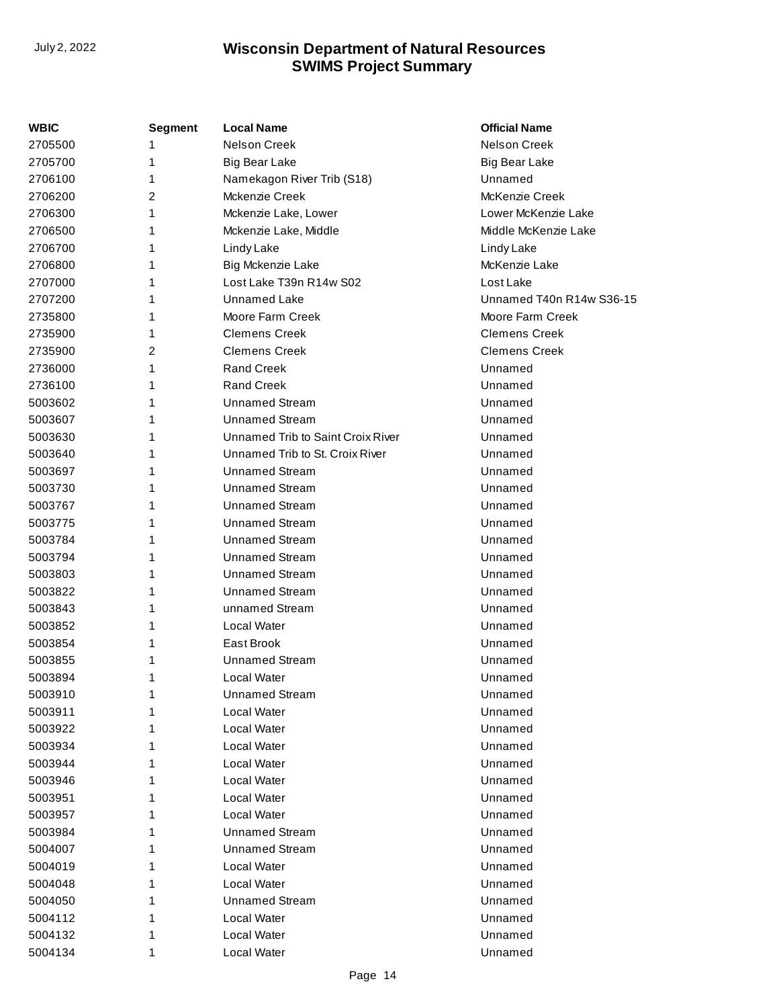| WBIC    | Segment | <b>Local Name</b>                 | <b>Official Name</b>     |
|---------|---------|-----------------------------------|--------------------------|
| 2705500 |         | Nelson Creek                      | <b>Nelson Creek</b>      |
| 2705700 | 1       | <b>Big Bear Lake</b>              | <b>Big Bear Lake</b>     |
| 2706100 | 1       | Namekagon River Trib (S18)        | Unnamed                  |
| 2706200 | 2       | Mckenzie Creek                    | McKenzie Creek           |
| 2706300 | 1       | Mckenzie Lake, Lower              | Lower McKenzie Lake      |
| 2706500 | 1       | Mckenzie Lake, Middle             | Middle McKenzie Lake     |
| 2706700 |         | Lindy Lake                        | Lindy Lake               |
| 2706800 | 1       | Big Mckenzie Lake                 | McKenzie Lake            |
| 2707000 | 1       | Lost Lake T39n R14w S02           | Lost Lake                |
| 2707200 | 1       | Unnamed Lake                      | Unnamed T40n R14w S36-15 |
| 2735800 | 1       | Moore Farm Creek                  | Moore Farm Creek         |
| 2735900 | 1       | <b>Clemens Creek</b>              | <b>Clemens Creek</b>     |
| 2735900 | 2       | <b>Clemens Creek</b>              | <b>Clemens Creek</b>     |
| 2736000 | 1       | <b>Rand Creek</b>                 | Unnamed                  |
| 2736100 | 1       | <b>Rand Creek</b>                 | Unnamed                  |
| 5003602 | 1       | <b>Unnamed Stream</b>             | Unnamed                  |
| 5003607 | 1       | <b>Unnamed Stream</b>             | Unnamed                  |
| 5003630 | 1       | Unnamed Trib to Saint Croix River | Unnamed                  |
| 5003640 | 1       | Unnamed Trib to St. Croix River   | Unnamed                  |
| 5003697 | 1       | <b>Unnamed Stream</b>             | Unnamed                  |
| 5003730 | 1       | <b>Unnamed Stream</b>             | Unnamed                  |
| 5003767 | 1       | <b>Unnamed Stream</b>             | Unnamed                  |
| 5003775 |         | <b>Unnamed Stream</b>             | Unnamed                  |
| 5003784 | 1       | <b>Unnamed Stream</b>             | Unnamed                  |
| 5003794 | 1       | <b>Unnamed Stream</b>             | Unnamed                  |
| 5003803 | 1       | <b>Unnamed Stream</b>             | Unnamed                  |
| 5003822 | 1       | <b>Unnamed Stream</b>             | Unnamed                  |
| 5003843 | 1       | unnamed Stream                    | Unnamed                  |
| 5003852 | 1       | Local Water                       | Unnamed                  |
| 5003854 | 1       | East Brook                        | Unnamed                  |
| 5003855 | 1       | <b>Unnamed Stream</b>             | Unnamed                  |
| 5003894 | 1       | Local Water                       | Unnamed                  |
| 5003910 | 1       | <b>Unnamed Stream</b>             | Unnamed                  |
| 5003911 | 1       | Local Water                       | Unnamed                  |
| 5003922 |         | Local Water                       | Unnamed                  |
| 5003934 | 1       | Local Water                       | Unnamed                  |
| 5003944 |         | Local Water                       | Unnamed                  |
| 5003946 | 1       | Local Water                       | Unnamed                  |
| 5003951 |         | Local Water                       | Unnamed                  |
| 5003957 | 1       | Local Water                       | Unnamed                  |
| 5003984 | 1       | <b>Unnamed Stream</b>             | Unnamed                  |
| 5004007 | 1       | <b>Unnamed Stream</b>             | Unnamed                  |
| 5004019 |         | Local Water                       | Unnamed                  |
| 5004048 | 1       | Local Water                       | Unnamed                  |
| 5004050 |         | <b>Unnamed Stream</b>             | Unnamed                  |
| 5004112 | 1       | Local Water                       | Unnamed                  |
| 5004132 | 1       | Local Water                       | Unnamed                  |
| 5004134 | 1       | Local Water                       | Unnamed                  |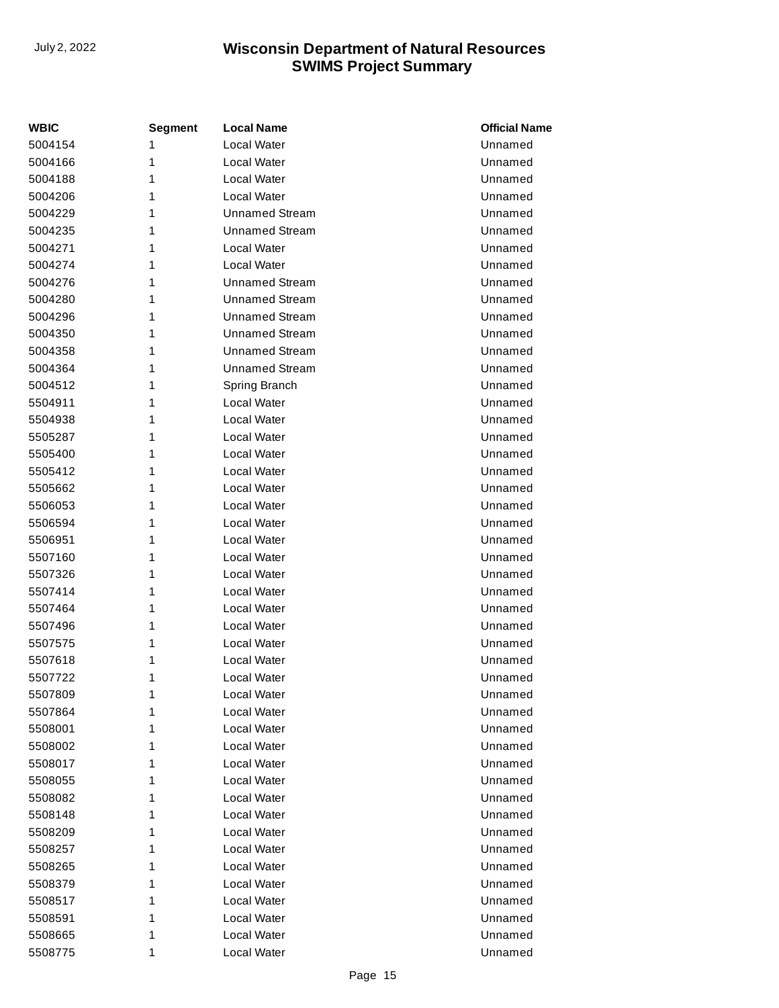| <b>WBIC</b> | Segment | <b>Local Name</b>     | <b>Official Name</b> |
|-------------|---------|-----------------------|----------------------|
| 5004154     | 1       | Local Water           | Unnamed              |
| 5004166     | 1       | Local Water           | Unnamed              |
| 5004188     | 1       | Local Water           | Unnamed              |
| 5004206     | 1       | Local Water           | Unnamed              |
| 5004229     | 1       | <b>Unnamed Stream</b> | Unnamed              |
| 5004235     | 1       | <b>Unnamed Stream</b> | Unnamed              |
| 5004271     | 1       | Local Water           | Unnamed              |
| 5004274     | 1       | Local Water           | Unnamed              |
| 5004276     | 1       | <b>Unnamed Stream</b> | Unnamed              |
| 5004280     | 1       | <b>Unnamed Stream</b> | Unnamed              |
| 5004296     | 1       | <b>Unnamed Stream</b> | Unnamed              |
| 5004350     | 1       | <b>Unnamed Stream</b> | Unnamed              |
| 5004358     | 1       | <b>Unnamed Stream</b> | Unnamed              |
| 5004364     | 1       | <b>Unnamed Stream</b> | Unnamed              |
| 5004512     | 1       | Spring Branch         | Unnamed              |
| 5504911     | 1       | Local Water           | Unnamed              |
| 5504938     | 1       | Local Water           | Unnamed              |
| 5505287     | 1       | Local Water           | Unnamed              |
| 5505400     | 1       | Local Water           | Unnamed              |
| 5505412     | 1       | Local Water           | Unnamed              |
| 5505662     | 1       | Local Water           | Unnamed              |
| 5506053     | 1       | Local Water           | Unnamed              |
| 5506594     | 1       | Local Water           | Unnamed              |
| 5506951     | 1       | Local Water           | Unnamed              |
| 5507160     | 1       | Local Water           | Unnamed              |
| 5507326     | 1       | Local Water           | Unnamed              |
| 5507414     | 1       | Local Water           | Unnamed              |
| 5507464     | 1       | Local Water           | Unnamed              |
| 5507496     | 1       | Local Water           | Unnamed              |
| 5507575     | 1       | Local Water           | Unnamed              |
| 5507618     | 1       | Local Water           | Unnamed              |
| 5507722     | 1       | Local Water           | Unnamed              |
| 5507809     | 1       | Local Water           | Unnamed              |
| 5507864     | 1       | Local Water           | Unnamed              |
| 5508001     | 1       | Local Water           | Unnamed              |
| 5508002     | 1       | Local Water           | Unnamed              |
| 5508017     | 1       | Local Water           | Unnamed              |
| 5508055     | 1       | Local Water           | Unnamed              |
| 5508082     | 1       | Local Water           | Unnamed              |
| 5508148     | 1       | Local Water           | Unnamed              |
| 5508209     | 1       | Local Water           | Unnamed              |
| 5508257     | 1       | Local Water           | Unnamed              |
| 5508265     | 1       | Local Water           | Unnamed              |
| 5508379     | 1       | Local Water           | Unnamed              |
| 5508517     | 1       | Local Water           | Unnamed              |
| 5508591     | 1       | Local Water           | Unnamed              |
| 5508665     | 1       | Local Water           | Unnamed              |
| 5508775     | 1       | Local Water           | Unnamed              |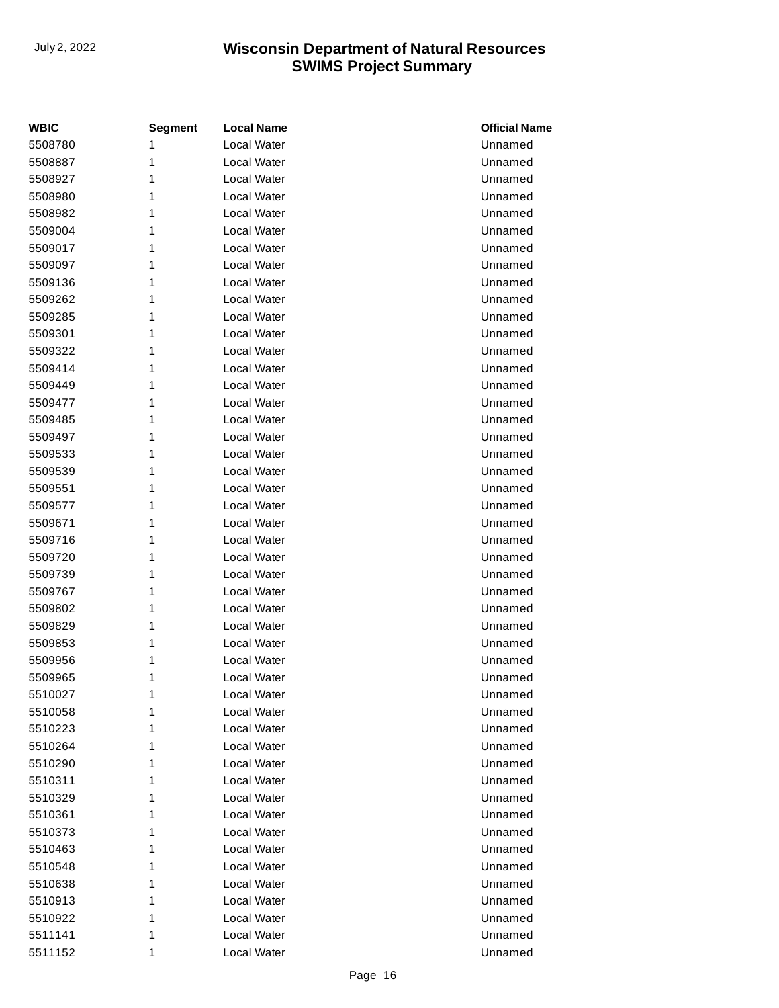| <b>WBIC</b> | <b>Segment</b> | <b>Local Name</b>  | <b>Official Name</b> |
|-------------|----------------|--------------------|----------------------|
| 5508780     | 1              | Local Water        | Unnamed              |
| 5508887     | 1              | <b>Local Water</b> | Unnamed              |
| 5508927     | 1              | Local Water        | Unnamed              |
| 5508980     | 1              | Local Water        | Unnamed              |
| 5508982     | 1              | Local Water        | Unnamed              |
| 5509004     | 1              | Local Water        | Unnamed              |
| 5509017     | 1              | Local Water        | Unnamed              |
| 5509097     | 1              | <b>Local Water</b> | Unnamed              |
| 5509136     | 1              | Local Water        | Unnamed              |
| 5509262     | 1              | Local Water        | Unnamed              |
| 5509285     | 1              | Local Water        | Unnamed              |
| 5509301     | 1              | Local Water        | Unnamed              |
| 5509322     | 1              | Local Water        | Unnamed              |
| 5509414     | 1              | Local Water        | Unnamed              |
| 5509449     | 1              | Local Water        | Unnamed              |
| 5509477     | 1              | <b>Local Water</b> | Unnamed              |
| 5509485     | 1              | Local Water        | Unnamed              |
| 5509497     | 1              | Local Water        | Unnamed              |
| 5509533     | 1              | Local Water        | Unnamed              |
| 5509539     | 1              | Local Water        | Unnamed              |
| 5509551     | 1              | Local Water        | Unnamed              |
| 5509577     | 1              | Local Water        | Unnamed              |
| 5509671     | 1              | Local Water        | Unnamed              |
| 5509716     | 1              | <b>Local Water</b> | Unnamed              |
| 5509720     | 1              | Local Water        | Unnamed              |
| 5509739     | 1              | Local Water        | Unnamed              |
| 5509767     | 1              | Local Water        | Unnamed              |
| 5509802     | 1              | Local Water        | Unnamed              |
| 5509829     | 1              | Local Water        | Unnamed              |
| 5509853     | 1              | Local Water        | Unnamed              |
| 5509956     | 1              | Local Water        | Unnamed              |
| 5509965     | 1              | Local Water        | Unnamed              |
| 5510027     | 1              | Local Water        | Unnamed              |
| 5510058     | 1              | Local Water        | Unnamed              |
| 5510223     | 1              | Local Water        | Unnamed              |
| 5510264     | 1              | Local Water        | Unnamed              |
| 5510290     | 1              | Local Water        | Unnamed              |
| 5510311     | 1              | Local Water        | Unnamed              |
| 5510329     | 1              | Local Water        | Unnamed              |
| 5510361     | 1              | Local Water        | Unnamed              |
| 5510373     | 1              | Local Water        | Unnamed              |
| 5510463     | 1              | Local Water        | Unnamed              |
| 5510548     | 1              | Local Water        | Unnamed              |
| 5510638     | 1              | Local Water        | Unnamed              |
| 5510913     | 1              | Local Water        | Unnamed              |
| 5510922     | 1              | Local Water        | Unnamed              |
| 5511141     | 1              | Local Water        | Unnamed              |
| 5511152     | 1              | Local Water        | Unnamed              |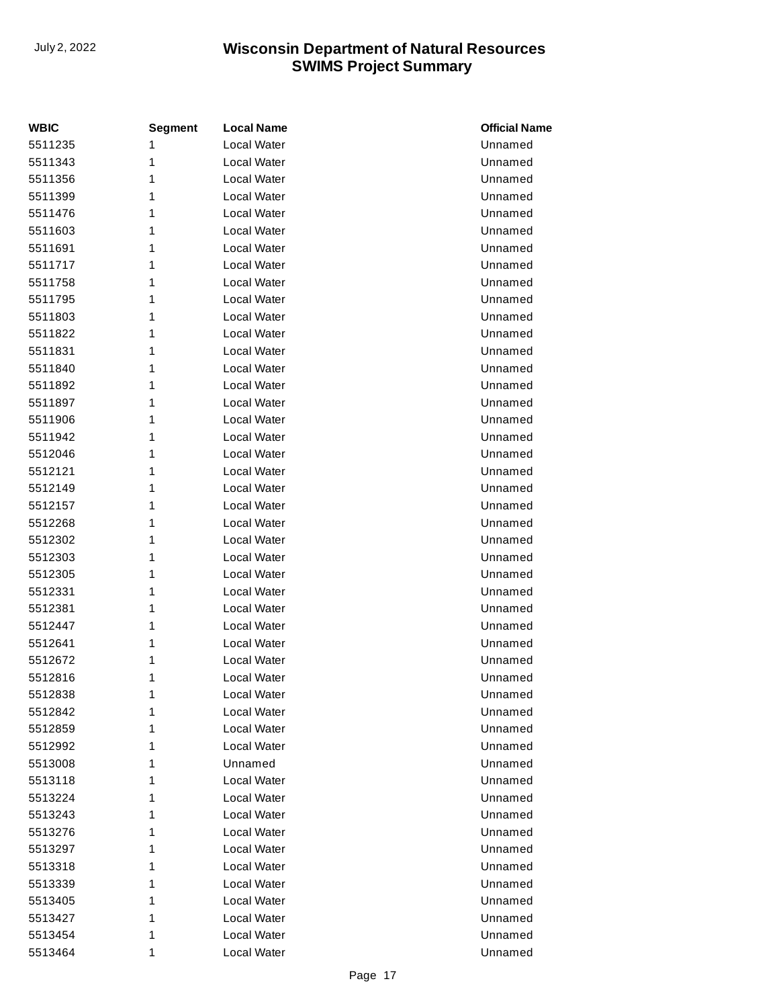| <b>WBIC</b> | <b>Segment</b> | <b>Local Name</b> | <b>Official Name</b> |
|-------------|----------------|-------------------|----------------------|
| 5511235     | 1              | Local Water       | Unnamed              |
| 5511343     | 1              | Local Water       | Unnamed              |
| 5511356     | 1              | Local Water       | Unnamed              |
| 5511399     | 1              | Local Water       | Unnamed              |
| 5511476     | 1              | Local Water       | Unnamed              |
| 5511603     | 1              | Local Water       | Unnamed              |
| 5511691     | 1              | Local Water       | Unnamed              |
| 5511717     | 1              | Local Water       | Unnamed              |
| 5511758     | 1              | Local Water       | Unnamed              |
| 5511795     | 1              | Local Water       | Unnamed              |
| 5511803     | 1              | Local Water       | Unnamed              |
| 5511822     | 1              | Local Water       | Unnamed              |
| 5511831     | 1              | Local Water       | Unnamed              |
| 5511840     | 1              | Local Water       | Unnamed              |
| 5511892     | 1              | Local Water       | Unnamed              |
| 5511897     | 1              | Local Water       | Unnamed              |
| 5511906     | 1              | Local Water       | Unnamed              |
| 5511942     | 1              | Local Water       | Unnamed              |
| 5512046     | 1              | Local Water       | Unnamed              |
| 5512121     | 1              | Local Water       | Unnamed              |
| 5512149     | 1              | Local Water       | Unnamed              |
| 5512157     | 1              | Local Water       | Unnamed              |
| 5512268     | 1              | Local Water       | Unnamed              |
| 5512302     | 1              | Local Water       | Unnamed              |
| 5512303     | 1              | Local Water       | Unnamed              |
| 5512305     | 1              | Local Water       | Unnamed              |
| 5512331     | 1              | Local Water       | Unnamed              |
| 5512381     | 1              | Local Water       | Unnamed              |
| 5512447     | 1              | Local Water       | Unnamed              |
| 5512641     | 1              | Local Water       | Unnamed              |
| 5512672     | 1              | Local Water       | Unnamed              |
| 5512816     | 1              | Local Water       | Unnamed              |
| 5512838     | 1              | Local Water       | Unnamed              |
| 5512842     | 1              | Local Water       | Unnamed              |
| 5512859     | 1              | Local Water       | Unnamed              |
| 5512992     | 1              | Local Water       | Unnamed              |
| 5513008     | 1              | Unnamed           | Unnamed              |
| 5513118     | 1              | Local Water       | Unnamed              |
| 5513224     | 1              | Local Water       | Unnamed              |
| 5513243     | 1              | Local Water       | Unnamed              |
| 5513276     | 1              | Local Water       | Unnamed              |
| 5513297     | 1              | Local Water       | Unnamed              |
| 5513318     | 1              | Local Water       | Unnamed              |
| 5513339     | 1              | Local Water       | Unnamed              |
| 5513405     | 1              | Local Water       | Unnamed              |
| 5513427     | 1              | Local Water       | Unnamed              |
| 5513454     | 1              | Local Water       | Unnamed              |
| 5513464     | 1              | Local Water       | Unnamed              |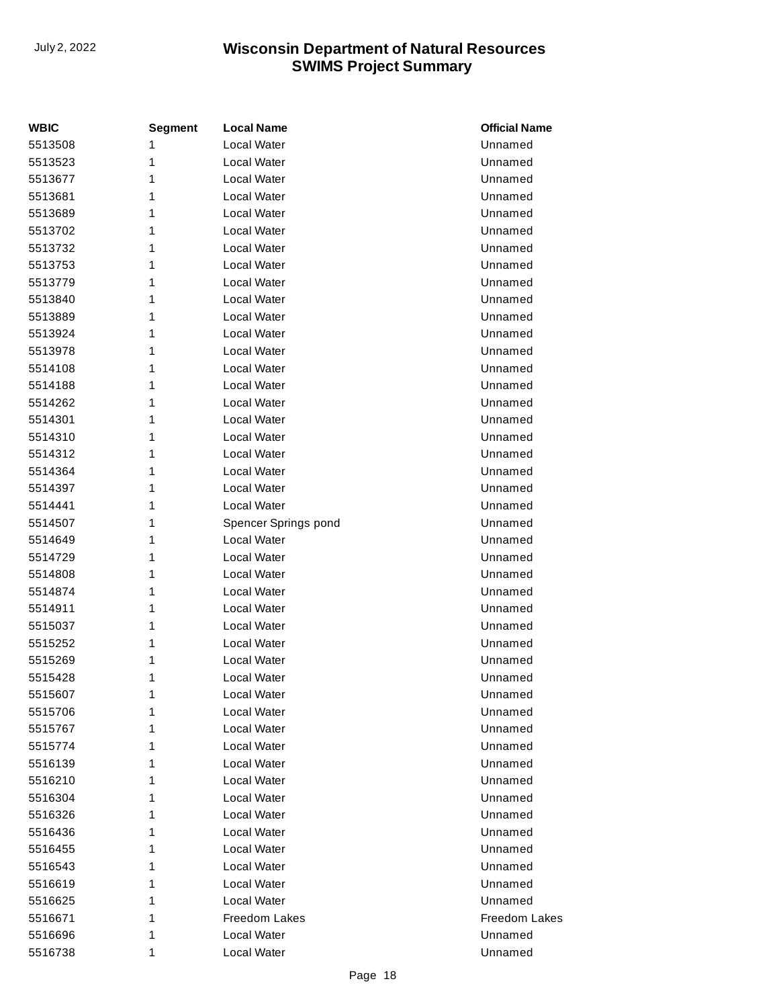| WBIC    | <b>Segment</b> | <b>Local Name</b>    | <b>Official Name</b> |
|---------|----------------|----------------------|----------------------|
| 5513508 | 1              | Local Water          | Unnamed              |
| 5513523 | 1              | Local Water          | Unnamed              |
| 5513677 | 1              | Local Water          | Unnamed              |
| 5513681 | 1              | Local Water          | Unnamed              |
| 5513689 | 1              | Local Water          | Unnamed              |
| 5513702 | 1              | Local Water          | Unnamed              |
| 5513732 | 1              | Local Water          | Unnamed              |
| 5513753 | 1              | Local Water          | Unnamed              |
| 5513779 | 1              | Local Water          | Unnamed              |
| 5513840 | 1              | Local Water          | Unnamed              |
| 5513889 | 1              | Local Water          | Unnamed              |
| 5513924 | 1              | Local Water          | Unnamed              |
| 5513978 | 1              | Local Water          | Unnamed              |
| 5514108 | 1              | Local Water          | Unnamed              |
| 5514188 | 1              | Local Water          | Unnamed              |
| 5514262 | 1              | Local Water          | Unnamed              |
| 5514301 | 1              | Local Water          | Unnamed              |
| 5514310 | 1              | Local Water          | Unnamed              |
| 5514312 | 1              | Local Water          | Unnamed              |
| 5514364 | 1              | Local Water          | Unnamed              |
| 5514397 | 1              | Local Water          | Unnamed              |
| 5514441 | 1              | Local Water          | Unnamed              |
| 5514507 | 1              | Spencer Springs pond | Unnamed              |
| 5514649 | 1              | Local Water          | Unnamed              |
| 5514729 | 1              | Local Water          | Unnamed              |
| 5514808 | 1              | Local Water          | Unnamed              |
| 5514874 | 1              | Local Water          | Unnamed              |
| 5514911 | 1              | Local Water          | Unnamed              |
| 5515037 | 1              | Local Water          | Unnamed              |
| 5515252 | 1              | Local Water          | Unnamed              |
| 5515269 | 1              | Local Water          | Unnamed              |
| 5515428 | 1              | Local Water          | Unnamed              |
| 5515607 | 1              | <b>Local Water</b>   | Unnamed              |
| 5515706 | 1              | Local Water          | Unnamed              |
| 5515767 | 1              | Local Water          | Unnamed              |
| 5515774 | 1              | Local Water          | Unnamed              |
| 5516139 | 1              | Local Water          | Unnamed              |
| 5516210 | 1              | Local Water          | Unnamed              |
| 5516304 | 1              | Local Water          | Unnamed              |
| 5516326 | 1              | Local Water          | Unnamed              |
| 5516436 | 1              | Local Water          | Unnamed              |
| 5516455 | 1              | Local Water          | Unnamed              |
| 5516543 | 1              | Local Water          | Unnamed              |
| 5516619 | 1              | Local Water          | Unnamed              |
| 5516625 | 1              | Local Water          | Unnamed              |
| 5516671 | 1              | Freedom Lakes        | Freedom Lakes        |
| 5516696 | 1              | Local Water          | Unnamed              |
| 5516738 | 1              | Local Water          | Unnamed              |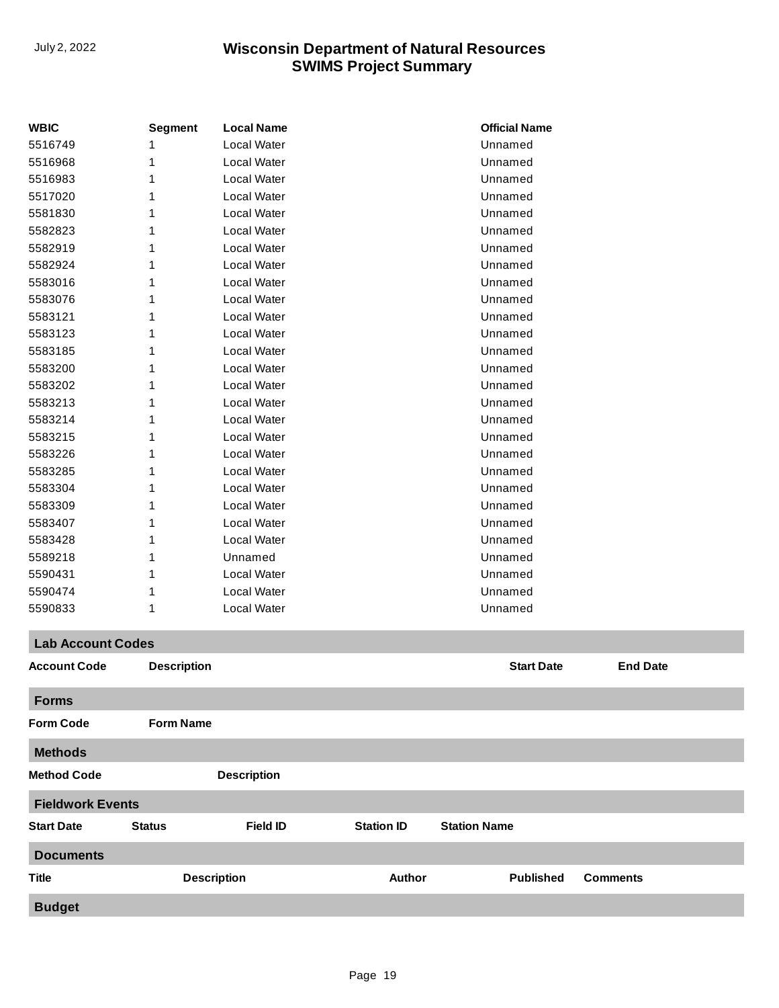| <b>WBIC</b>              | <b>Segment</b>     | <b>Local Name</b>  |                   | <b>Official Name</b> |                 |
|--------------------------|--------------------|--------------------|-------------------|----------------------|-----------------|
| 5516749                  |                    | Local Water        |                   | Unnamed              |                 |
| 5516968                  | 1                  | Local Water        |                   | Unnamed              |                 |
| 5516983                  | 1                  | <b>Local Water</b> |                   | Unnamed              |                 |
| 5517020                  |                    | Local Water        |                   | Unnamed              |                 |
| 5581830                  | 1                  | Local Water        |                   | Unnamed              |                 |
| 5582823                  | 1                  | Local Water        |                   | Unnamed              |                 |
| 5582919                  | 1                  | <b>Local Water</b> |                   | Unnamed              |                 |
| 5582924                  |                    | Local Water        |                   | Unnamed              |                 |
| 5583016                  | 1                  | Local Water        |                   | Unnamed              |                 |
| 5583076                  |                    | Local Water        |                   | Unnamed              |                 |
| 5583121                  | 1                  | <b>Local Water</b> |                   | Unnamed              |                 |
| 5583123                  |                    | Local Water        |                   | Unnamed              |                 |
| 5583185                  | 1                  | Local Water        |                   | Unnamed              |                 |
| 5583200                  | 1                  | Local Water        |                   | Unnamed              |                 |
| 5583202                  | 1                  | <b>Local Water</b> |                   | Unnamed              |                 |
| 5583213                  |                    | Local Water        |                   | Unnamed              |                 |
| 5583214                  |                    | Local Water        |                   | Unnamed              |                 |
| 5583215                  |                    | Local Water        |                   | Unnamed              |                 |
| 5583226                  | 1                  | <b>Local Water</b> |                   | Unnamed              |                 |
| 5583285                  |                    | Local Water        |                   | Unnamed              |                 |
| 5583304                  | 1                  | Local Water        |                   | Unnamed              |                 |
| 5583309                  | 1                  | Local Water        |                   | Unnamed              |                 |
| 5583407                  | 1                  | <b>Local Water</b> |                   | Unnamed              |                 |
| 5583428                  |                    | Local Water        |                   | Unnamed              |                 |
| 5589218                  | 1                  | Unnamed            |                   | Unnamed              |                 |
| 5590431                  |                    | Local Water        |                   | Unnamed              |                 |
| 5590474                  | 1                  | Local Water        |                   | Unnamed              |                 |
| 5590833                  | 1                  | Local Water        |                   | Unnamed              |                 |
| <b>Lab Account Codes</b> |                    |                    |                   |                      |                 |
| <b>Account Code</b>      | <b>Description</b> |                    |                   | <b>Start Date</b>    | <b>End Date</b> |
| <b>Forms</b>             |                    |                    |                   |                      |                 |
| <b>Form Code</b>         | <b>Form Name</b>   |                    |                   |                      |                 |
| <b>Methods</b>           |                    |                    |                   |                      |                 |
| <b>Method Code</b>       |                    | <b>Description</b> |                   |                      |                 |
| <b>Fieldwork Events</b>  |                    |                    |                   |                      |                 |
| <b>Start Date</b>        | <b>Status</b>      | <b>Field ID</b>    | <b>Station ID</b> | <b>Station Name</b>  |                 |
| <b>Documents</b>         |                    |                    |                   |                      |                 |
| <b>Title</b>             | <b>Description</b> |                    | <b>Author</b>     | <b>Published</b>     | <b>Comments</b> |
| <b>Budget</b>            |                    |                    |                   |                      |                 |